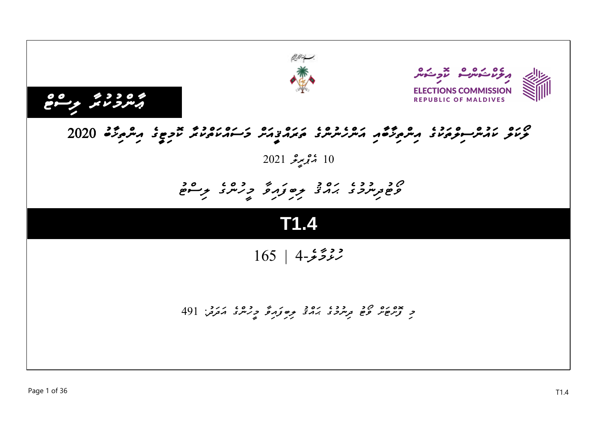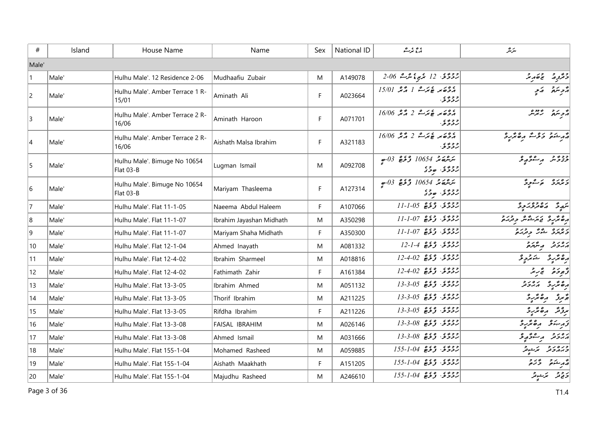| #               | Island | House Name                                | Name                     | Sex       | National ID | ، ه ، ره<br>د ، برگ                                                        | ىئرىتر                    |
|-----------------|--------|-------------------------------------------|--------------------------|-----------|-------------|----------------------------------------------------------------------------|---------------------------|
| Male'           |        |                                           |                          |           |             |                                                                            |                           |
|                 | Male'  | Hulhu Male'. 12 Residence 2-06            | Mudhaafiu Zubair         | ${\sf M}$ | A149078     | $2-06$ مَدْوَّدَ $12$ مَدْسٍ عَمْرَ سَمْرَ 2.06                            | בתקב בסתי                 |
| $\overline{c}$  | Male'  | Hulhu Male'. Amber Terrace 1 R-<br>15/01  | Aminath Ali              | F         | A023664     | $15/01$ $22/1$ $22/9$<br>و و و ي.<br>رنونونو .                             | ړې په کړې                 |
| $\vert$ 3       | Male'  | Hulhu Male'. Amber Terrace 2 R-<br>16/06  | Aminath Haroon           | F         | A071701     | $16/06$ $22$ $22$ $22$<br>ر و و ء .<br>رند <del>و</del> و .                | و د و وده                 |
| $\overline{4}$  | Male'  | Hulhu Male'. Amber Terrace 2 R-<br>16/06  | Aishath Malsa Ibrahim    | F.        | A321183     | $16/06$ مَرْجَعَة $2$ مَحْمَد $2$ مَحْمَد $2$<br>و و وي.<br>رنگوگو         | وأرشكم وكرمش ركائريرو     |
| 5               | Male'  | Hulhu Male'. Bimuge No 10654<br>Flat 03-B | Lugman Ismail            | M         | A092708     | <i>سَرْمُهُ جَ</i> 10654 كَرْمُرْھِ 2,9-ھ<br>و و ده و د<br>رنور خو . ص و ی | ووومر برسۇمبۇ             |
| $6\overline{6}$ | Male'  | Hulhu Male'. Bimuge No 10654<br>Flat 03-B | Mariyam Thasleema        | F         | A127314     | $-03$ $229$ $10654$ $222$<br>و و دی.<br>رنگوگر ۱۰ مونی                     | رەرە بەھبۇد               |
| $\overline{7}$  | Male'  | Hulhu Male'. Flat 11-1-05                 | Naeema Abdul Haleem      | F.        | A107066     | $11 - 1 - 05$ $22 - 22$                                                    | سَمِيعٌ رەھىر دەر         |
| 8               | Male'  | Hulhu Male'. Flat 11-1-07                 | Ibrahim Jayashan Midhath | M         | A350298     | $11 - 1 - 07$ $22 - 532$                                                   |                           |
| 9               | Male'  | Hulhu Male'. Flat 11-1-07                 | Mariyam Shaha Midhath    | F.        | A350300     | $11 - 1 - 07$ $22 - 52$                                                    | رەرە شەم دىرد             |
| 10              | Male'  | Hulhu Male'. Flat 12-1-04                 | Ahmed Inayath            | M         | A081332     | $12 - 1 - 4$ وَوَصَى 4-1-12                                                | גם גב הייתר ב             |
| 11              | Male'  | Hulhu Male'. Flat 12-4-02                 | Ibrahim Sharmeel         | M         | A018816     | $12 - 4 - 02$ $22 - 52$                                                    | رەپرىر ئىكرى              |
| 12              | Male'  | Hulhu Male'. Flat 12-4-02                 | Fathimath Zahir          | F.        | A161384     | $12 - 4 - 02$ $22 - 52$                                                    | ر موځو ځېږ                |
| 13              | Male'  | Hulhu Male'. Flat 13-3-05                 | Ibrahim Ahmed            | M         | A051132     | $13 - 3 - 05$ $22 - 52$                                                    | גפת הפיק בי               |
| 14              | Male'  | Hulhu Male'. Flat 13-3-05                 | Thorif Ibrahim           | M         | A211225     | $13 - 3 - 05$ $22 - 52$                                                    | پ <sub>ج</sub> مرز مرگیرد |
| 15              | Male'  | Hulhu Male'. Flat 13-3-05                 | Rifdha Ibrahim           | F         | A211226     | $13 - 3 - 05$ $22 - 52$                                                    | أبروتر المقاتر و          |
| 16              | Male'  | Hulhu Male'. Flat 13-3-08                 | <b>FAISAL IBRAHIM</b>    | M         | A026146     | $13 - 3 - 08$ $22 - 52$                                                    | تەسىر مەھمىر              |
| 17              | Male'  | Hulhu Male'. Flat 13-3-08                 | Ahmed Ismail             | M         | A031666     | $13 - 3 - 08$ $22 - 52$                                                    | رەرد رەشىمە               |
| 18              | Male'  | Hulhu Male'. Flat 155-1-04                | Mohamed Rasheed          | M         | A059885     | $155 - 1 - 04$ $223 - 22$                                                  | ورەر و كەنبەتر            |
| 19              | Male'  | Hulhu Male'. Flat 155-1-04                | Aishath Maakhath         | F.        | A151205     | $155 - 1 - 04$ $223 - 532$                                                 | وكرمشكم وتزمي             |
| 20              | Male'  | Hulhu Male'. Flat 155-1-04                | Majudhu Rasheed          | M         | A246610     | $155 - 1 - 04$ $223 - 22$                                                  | ر و و<br>وقع تر مرشوتر    |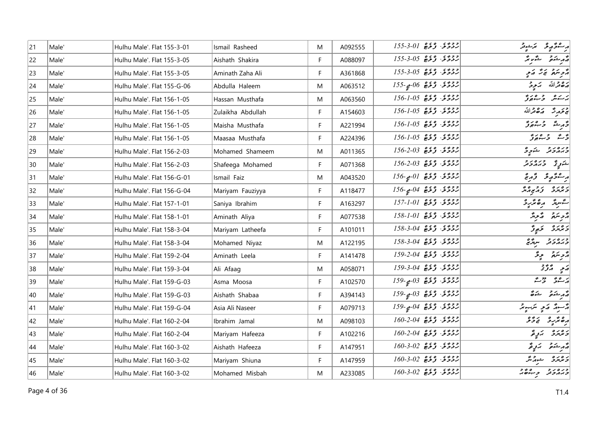|       |                            |                            |                |         |                                       | أير سكركر في مركب وكر                                                                                                                                                                            |
|-------|----------------------------|----------------------------|----------------|---------|---------------------------------------|--------------------------------------------------------------------------------------------------------------------------------------------------------------------------------------------------|
| Male' | Hulhu Male'. Flat 155-3-05 | Aishath Shakira            | F.             | A088097 |                                       | مەر شكىم شىرىم                                                                                                                                                                                   |
| Male' | Hulhu Male'. Flat 155-3-05 | Aminath Zaha Ali           | F              | A361868 | $155 - 3 - 05$ وَقَرْحَ $25 - 3 - 05$ | أأوسكم بمائر أأبر                                                                                                                                                                                |
| Male' | Hulhu Male'. Flat 155-G-06 | Abdulla Haleem             | M              | A063512 |                                       | <mark>رەم</mark> راللە تەم <u>و</u> ق                                                                                                                                                            |
| Male' | Hulhu Male'. Flat 156-1-05 | Hassan Musthafa            | M              | A063560 | $156 - 1 - 05$ وَوَصَعَ 156-1         | يز کشش ته شهرون                                                                                                                                                                                  |
| Male' | Hulhu Male'. Flat 156-1-05 | Zulaikha Abdullah          | F              | A154603 | $156 - 1 - 05$ $22$ $32$              | تحصيرته وكالحدالله                                                                                                                                                                               |
| Male' | Hulhu Male'. Flat 156-1-05 | Maisha Musthafa            | F.             | A221994 | $156 - 1 - 05$ $22$ $32$              | أؤرث وبنبوز                                                                                                                                                                                      |
| Male' | Hulhu Male'. Flat 156-1-05 | Maasaa Musthafa            | F              | A224396 | $156 - 1 - 05$ $22$ $32$              | د شه د و ماره                                                                                                                                                                                    |
| Male' | Hulhu Male'. Flat 156-2-03 | Mohamed Shameem            | M              | A011365 | $156 - 2 - 03$ $253 - 2$              | ورەرو شەرو                                                                                                                                                                                       |
| Male' | Hulhu Male'. Flat 156-2-03 | Shafeega Mohamed           | F              | A071368 | $156 - 2 - 03$ وَوَصَعَ $2 - 03$      | شَرَرٍ تَرَ وَبَرور وَ                                                                                                                                                                           |
| Male' | Hulhu Male'. Flat 156-G-01 | Ismail Faiz                | M              | A043520 |                                       | ر شۇر قۇرچ                                                                                                                                                                                       |
| Male' | Hulhu Male'. Flat 156-G-04 | Mariyam Fauziyya           | F              | A118477 |                                       | במתכ נגבמת                                                                                                                                                                                       |
| Male' | Hulhu Male'. Flat 157-1-01 | Saniya Ibrahim             | F              | A163297 | $157 - 1 - 01$ $223 - 22$             | رە ئەرد<br>السمسرير                                                                                                                                                                              |
| Male' | Hulhu Male'. Flat 158-1-01 | Aminath Aliya              | F              | A077538 | $158 - 1 - 01$ $223 - 522$            | أزويتني أزمراز                                                                                                                                                                                   |
| Male' | Hulhu Male'. Flat 158-3-04 | Mariyam Latheefa           | F              | A101011 | $158 - 3 - 04$ $223 - 522$            | أوسروا وتحيي                                                                                                                                                                                     |
| Male' | Hulhu Male'. Flat 158-3-04 | Mohamed Niyaz              | M              | A122195 | $158 - 3 - 04$ $22.3 - 53.2$          | ورەرو سۇھ                                                                                                                                                                                        |
| Male' | Hulhu Male'. Flat 159-2-04 | Aminath Leela              | F              | A141478 | $159 - 2 - 04$ $22 - 32$              | أزوبترة ويؤ                                                                                                                                                                                      |
| Male' | Hulhu Male'. Flat 159-3-04 | Ali Afaaq                  | M              | A058071 | $159 - 3 - 04$ $22 - 32$              | پر پروژ                                                                                                                                                                                          |
| Male' | Hulhu Male'. Flat 159-G-03 | Asma Moosa                 | F              | A102570 | $159 - 03$ وَوَى $2$ $55$ $2$         | كەن ئەستە                                                                                                                                                                                        |
| Male' | Hulhu Male'. Flat 159-G-03 | Aishath Shabaa             | F              | A394143 | $159 - 03$ وَوَى $03$ -بِي-159        | أمار مشكاة المشكاة                                                                                                                                                                               |
| Male' | Hulhu Male'. Flat 159-G-04 | Asia Ali Naseer            | F.             | A079713 |                                       | قرسوق وكالمح الكرسوقى                                                                                                                                                                            |
| Male' | Hulhu Male'. Flat 160-2-04 | Ibrahim Jamal              | M              | A098103 | $160 - 2 - 04$ $222 - 32$             | دە ئەر ئەۋى                                                                                                                                                                                      |
| Male' | Hulhu Male'. Flat 160-2-04 | Mariyam Hafeeza            | F              | A102216 | $160 - 2 - 04$ $222 - 32$             | د ۱۵۷۵ - برتوڅ                                                                                                                                                                                   |
| Male' | Hulhu Male'. Flat 160-3-02 | Aishath Hafeeza            | F.             | A147951 | $160 - 3 - 02$ $22 - 32$              | مەر خىم كىرىم                                                                                                                                                                                    |
| Male' | Hulhu Male'. Flat 160-3-02 | Mariyam Shiuna             | F              | A147959 | $160 - 3 - 02$ وَوَصَى 20-3-00        | أو يورو شور شر                                                                                                                                                                                   |
|       | Hulhu Male'. Flat 160-3-02 | Mohamed Misbah             | M              | A233085 | $160 - 3 - 02$ $22 - 32$              |                                                                                                                                                                                                  |
|       | Male'<br>Male'             | Hulhu Male'. Flat 155-3-01 | Ismail Rasheed | M       | A092555                               | $155 - 3 - 01$ $22 - 32$<br>$155 - 3 - 05$ $253 - 352$<br>$155$ - وَوَعْ $06$ - وِ-155<br>$156 - 01$ وَوَى $2$ $\sim$ $\sim$<br>$156 - 04$ وَوَى $156 - 04$<br>$159 - 04$ وَوَى $64$ -بِي- $159$ |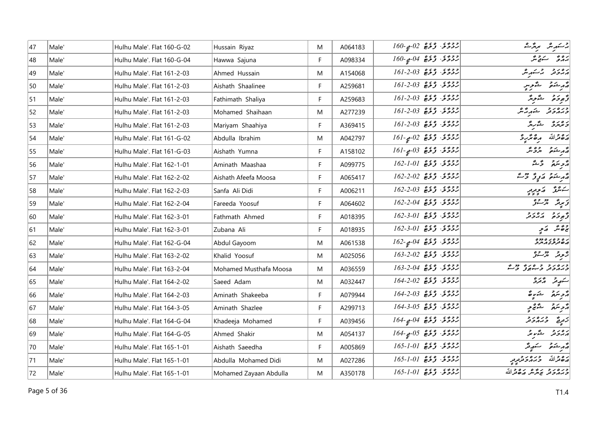| 47 | Male' | Hulhu Male'. Flat 160-G-02 | Hussain Riyaz          | M         | A064183 | $160$ -يوگو. ووگا $02$ -يو $-160$        | جرستمهریش مورگزشته                              |
|----|-------|----------------------------|------------------------|-----------|---------|------------------------------------------|-------------------------------------------------|
| 48 | Male' | Hulhu Male'. Flat 160-G-04 | Hawwa Sajuna           | F         | A098334 | $160$ -يوگو. وڏھ $-94$ -يو $-160$        | پره پر سکه تر                                   |
| 49 | Male' | Hulhu Male'. Flat 161-2-03 | Ahmed Hussain          | M         | A154068 | $161 - 2 - 03$ وَوَصَعْ $65.2$           | أرور وحسكه مثر                                  |
| 50 | Male' | Hulhu Male'. Flat 161-2-03 | Aishath Shaalinee      | F         | A259681 | $161 - 2 - 03$ $223 - 532$               | أقهر مشكاة المستكونين                           |
| 51 | Male' | Hulhu Male'. Flat 161-2-03 | Fathimath Shaliya      | F         | A259683 | $161 - 2 - 03$ $22 - 32$                 | أوُّبُوحَمُّ شُوَّرِيرُ                         |
| 52 | Male' | Hulhu Male'. Flat 161-2-03 | Mohamed Shaihaan       | M         | A277239 | $161 - 2 - 03$ وَوَصَى $-161$            | ورەرو شەربىر                                    |
| 53 | Male' | Hulhu Male'. Flat 161-2-03 | Mariyam Shaahiya       | F         | A369415 | $161 - 2 - 03$ وَوَصَعَ $161 - 2 - 03$   | رەرە شەرپە                                      |
| 54 | Male' | Hulhu Male'. Flat 161-G-02 | Abdulla Ibrahim        | M         | A042797 | $161$ -يوگو. وگوھ 20-ي $-161$            | ەھىراللە<br>ەھ ترىرى                            |
| 55 | Male' | Hulhu Male'. Flat 161-G-03 | Aishath Yumna          | F         | A158102 | $161$ -بِدَدَّنْ وَوْهِ $03$ -بِي- $161$ | وكرم شكوح الرحر مكر                             |
| 56 | Male' | Hulhu Male'. Flat 162-1-01 | Aminath Maashaa        | F         | A099775 | $162 - 1 - 01$ وَوَصَعَ $1 - 1 - 2$      | أأدجر المراكب وأراديثم                          |
| 57 | Male' | Hulhu Male'. Flat 162-2-02 | Aishath Afeefa Moosa   | F         | A065417 | $162 - 2 - 02$ $22 - 2 - 52$             | أمار شوم أمرير والمحمد                          |
| 58 | Male' | Hulhu Male'. Flat 162-2-03 | Sanfa Ali Didi         | F         | A006211 | $162 - 2 - 03$ وَوَصَعَ $2 - 2 - 03$     | سەشۇر كەبچەتچەت                                 |
| 59 | Male' | Hulhu Male'. Flat 162-2-04 | Fareeda Yoosuf         | F         | A064602 | $162 - 2 - 04$ وَوَصَعْ $04$ -2-2        | ۇيدىگە جۇمسۇم                                   |
| 60 | Male' | Hulhu Male'. Flat 162-3-01 | Fathmath Ahmed         | F         | A018395 | $162 - 3 - 01$ $22 - 3 - 1$              | و ده ده ده د                                    |
| 61 | Male' | Hulhu Male'. Flat 162-3-01 | Zubana Ali             | F         | A018935 | $162 - 3 - 01$ $223 - 322$               | ج څ شه په کړم په                                |
| 62 | Male' | Hulhu Male'. Flat 162-G-04 | Abdul Gayoom           | M         | A061538 | $162$ -ي د و د و 94 - 162-يو $-$ 162     | ر ه و ه ر ه دوه<br>پره تر پر بر بر              |
| 63 | Male' | Hulhu Male'. Flat 163-2-02 | Khalid Yoosuf          | M         | A025056 | $163 - 2 - 02$ وَوَصَعَ 20-2-163         | انژونر انزل ده ده<br>انژوند انزلسون             |
| 64 | Male' | Hulhu Male'. Flat 163-2-04 | Mohamed Musthafa Moosa | M         | A036559 | $163 - 2 - 04$ وَوَصَع $-2$              | وره رو د و ره دو ه<br><i>و پرو</i> تر و ښوژ و ت |
| 65 | Male' | Hulhu Male'. Flat 164-2-02 | Saeed Adam             | M         | A032447 | $164 - 2 - 02$ وَوَصَعَ 20-2-164         | سەر ئە ئەترى                                    |
| 66 | Male' | Hulhu Male'. Flat 164-2-03 | Aminath Shakeeba       | F         | A079944 | $164 - 2 - 03$ $22 - 32$                 | أزويتهم شربوة                                   |
| 67 | Male' | Hulhu Male'. Flat 164-3-05 | Aminath Shazlee        | F         | A299713 | $164 - 3 - 05$ وَوَصَعَ 50-3-164         | وحريرة الشيحو                                   |
| 68 | Male' | Hulhu Male'. Flat 164-G-04 | Khadeeja Mohamed       | F         | A039456 | $164$ -يوگو. ووقع -04-ي $-$ 164          | كترقح ورورو                                     |
| 69 | Male' | Hulhu Male'. Flat 164-G-05 | Ahmed Shakir           | M         | A054137 | $164$ - وَوَى وَوَى $-05$ - وِ $-164$    | رەرد شەر                                        |
| 70 | Male' | Hulhu Male'. Flat 165-1-01 | Aishath Saeedha        | F         | A005869 | $165 - 1 - 01$ وَوَصَعَ $1 - 1 - 1$      | مەر شىم ئىسىمى ئىش                              |
| 71 | Male' | Hulhu Male'. Flat 165-1-01 | Abdulla Mohamed Didi   | M         | A027286 | $165 - 1 - 01$ وَوَصَعَ $1 - 1 - 1$      | رە داللە ھەرەر دىرىر                            |
| 72 | Male' | Hulhu Male'. Flat 165-1-01 | Mohamed Zayaan Abdulla | ${\sf M}$ | A350178 | $165 - 1 - 01$ $22.$ $33.2$              | وره رو بروه ره دالله                            |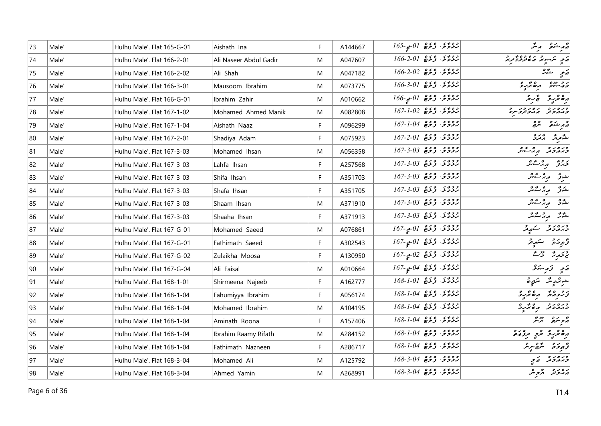| 73 | Male' | Hulhu Male'. Flat 165-G-01 | Aishath Ina            | F  | A144667 | $165 - 01$ وَكَرْبَوْ $01$ - فِي-165 $\frac{25}{5}$ | قەرشنى مەش                     |
|----|-------|----------------------------|------------------------|----|---------|-----------------------------------------------------|--------------------------------|
| 74 | Male' | Hulhu Male'. Flat 166-2-01 | Ali Naseer Abdul Gadir | M  | A047607 | $166 - 2 - 01$ $223 - 322$                          | ג׳ צֶ תֹוֹיְתָי הַסְּתְלֹצְתֶ  |
| 75 | Male' | Hulhu Male'. Flat 166-2-02 | Ali Shah               | M  | A047182 | $166 - 2 - 02$ وَوَصَى 20-2                         | ړې شر                          |
| 76 | Male' | Hulhu Male'. Flat 166-3-01 | Mausoom Ibrahim        | M  | A073775 | $166 - 3 - 01$ $22 - 32$                            | ر و وه<br>د پر سوو<br>ەھ ترىرو |
| 77 | Male' | Hulhu Male'. Flat 166-G-01 | Ibrahim Zahir          | M  | A010662 | $166 - 01$ دېگور وي. $01 - 4 - 1$                   | رە ئۇرۇ ئۇرىز                  |
| 78 | Male' | Hulhu Male'. Flat 167-1-02 | Mohamed Ahmed Manik    | M  | A082808 | $167 - 1 - 02$ وَوَصَعَ $-1 - 1 - 1$                | כנסנכ נסנכנית                  |
| 79 | Male' | Hulhu Male'. Flat 167-1-04 | Aishath Naaz           | F. | A096299 | $167 - 1 - 04$ وَوَصَع 167-1                        | أقدم شرقه متثبتي               |
| 80 | Male' | Hulhu Male'. Flat 167-2-01 | Shadiya Adam           | F  | A075923 | $167 - 2 - 01$ $223 - 552$                          | شگورگر گرفرو                   |
| 81 | Male' | Hulhu Male'. Flat 167-3-03 | Mohamed Ihsan          | M  | A056358 | $167 - 3 - 03$ $22$ $3 - 3 - 2$                     | ورەرو مەشھر                    |
| 82 | Male' | Hulhu Male'. Flat 167-3-03 | Lahfa Ihsan            | F  | A257568 | $167 - 3 - 03$ وَوَصَعَ $03 - 3 - 167$              | لرجيق مايا مشرها               |
| 83 | Male' | Hulhu Male'. Flat 167-3-03 | Shifa Ihsan            | F. | A351703 | $167 - 3 - 03$ $22$ $32$                            | خبور محمد مرکز میگر            |
| 84 | Male' | Hulhu Male'. Flat 167-3-03 | Shafa Ihsan            | F  | A351705 | $167 - 3 - 03$ $22$ $3 - 3 - 2$                     | خۇ مەشقىر                      |
| 85 | Male' | Hulhu Male'. Flat 167-3-03 | Shaam Ihsan            | M  | A371910 | $167 - 3 - 03$ وَوَصَعْ $03$ -3-03                  | شرو مرکشگر                     |
| 86 | Male' | Hulhu Male'. Flat 167-3-03 | Shaaha Ihsan           | F  | A371913 | $167 - 3 - 03$ $22$ $3 - 3 - 2$                     | شۇڭ مەشكىلگە                   |
| 87 | Male' | Hulhu Male'. Flat 167-G-01 | Mohamed Saeed          | M  | A076861 | $167 - 01$ وَوَى $2$                                | ورەر دىر                       |
| 88 | Male' | Hulhu Male'. Flat 167-G-01 | Fathimath Saeed        | F  | A302543 | $167 - 01$ وَوَوْ $\cdot$ وَوَوْعَ $01$ - وِ $-7$   | تزجوخرة كالميثر                |
| 89 | Male' | Hulhu Male'. Flat 167-G-02 | Zulaikha Moosa         | F. | A130950 | $167 - 02$ وَوَى $2$ - مِ                           | أنج ترور محر المحر المحر       |
| 90 | Male' | Hulhu Male'. Flat 167-G-04 | Ali Faisal             | M  | A010664 | $167 - 04$ وَوَى $167 - 04$                         | ړي زېږېد                       |
| 91 | Male' | Hulhu Male'. Flat 168-1-01 | Shirmeena Najeeb       | F  | A162777 | $168 - 1 - 01$ $223 - 322$                          | شوندويتر سكوة                  |
| 92 | Male' | Hulhu Male'. Flat 168-1-04 | Fahumiyya Ibrahim      | F  | A056174 | $168 - 1 - 04$ $223 - 522$                          | צ בכתול תפיל ב                 |
| 93 | Male' | Hulhu Male'. Flat 168-1-04 | Mohamed Ibrahim        | M  | A104195 | $168 - 1 - 04$ وَوَصَعْ 168-1                       | כמהכת השתיק                    |
| 94 | Male' | Hulhu Male'. Flat 168-1-04 | Aminath Roona          | F. | A157406 | $168 - 1 - 04$ $223 - 522$                          | ה ביתוח ודיות                  |
| 95 | Male' | Hulhu Male'. Flat 168-1-04 | Ibrahim Raamy Rifath   | M  | A284152 | $168 - 1 - 04$ وَوَصَع 168-1                        | مەھترىرە ترىپ بىرومە           |
| 96 | Male' | Hulhu Male'. Flat 168-1-04 | Fathimath Nazneen      | F  | A286717 | $168 - 1 - 04$ وَوَصَع 168-1                        | ۇي <sub>و</sub> دۇ شىرسى       |
| 97 | Male' | Hulhu Male'. Flat 168-3-04 | Mohamed Ali            | M  | A125792 | $168 - 3 - 04$ $22.$ $32$                           | ورەرو كەي                      |
| 98 | Male' | Hulhu Male'. Flat 168-3-04 | Ahmed Yamin            | M  | A268991 | $168 - 3 - 04$ $22$ $32$                            | رەر پەرچە                      |
|    |       |                            |                        |    |         |                                                     |                                |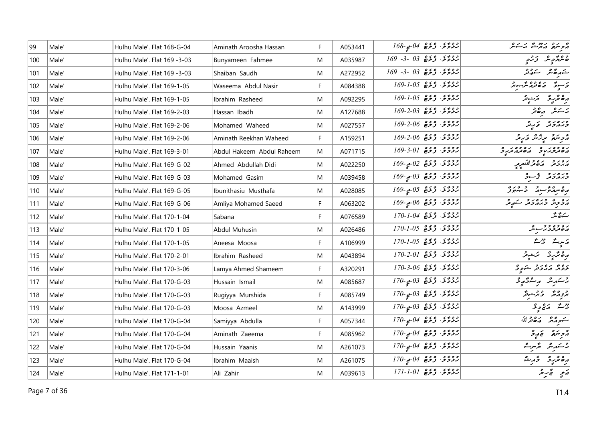| 99  | Male' | Hulhu Male'. Flat 168-G-04  | Aminath Aroosha Hassan    | F  | A053441 | $168 - 94$ حِمْدَ جَمْعَ $-168$             | و ده دوم در ده                                                                                                 |
|-----|-------|-----------------------------|---------------------------|----|---------|---------------------------------------------|----------------------------------------------------------------------------------------------------------------|
| 100 | Male' | Hulhu Male'. Flat 169 -3-03 | Bunyameen Fahmee          | M  | A035987 | $169 - 3 - 03$ $22 - 22$                    | ق مسترد مشروع و ترديبو                                                                                         |
| 101 | Male' | Hulhu Male'. Flat 169 -3-03 | Shaiban Saudh             | M  | A272952 | $169 - 3 - 03$ $223 - 532$                  | الشورة مشرور من المحدد المحمد المحدد المحمد المحمد المحمد المحمد المحمد المحمد المحمد المحمد المحمد المحمد الم |
| 102 | Male' | Hulhu Male'. Flat 169-1-05  | Waseema Abdul Nasir       | F  | A084388 | $169 - 1 - 05$ $22.$ $32$                   | كرسوس مەھ مەر بەر بەر                                                                                          |
| 103 | Male' | Hulhu Male'. Flat 169-1-05  | Ibrahim Rasheed           | M  | A092295 | $169 - 1 - 05$ $22 - 32$                    | أرە ئۇر ئەس ئەسىر                                                                                              |
| 104 | Male' | Hulhu Male'. Flat 169-2-03  | Hassan Ibadh              | M  | A127688 | $169 - 2 - 03$ وَوَصَعَ $2 - 2$             | ير شهر مدة قر                                                                                                  |
| 105 | Male' | Hulhu Male'. Flat 169-2-06  | Mohamed Waheed            | M  | A027557 | $169 - 2 - 06$ $22 - 22$                    | ورەرو كەبىر                                                                                                    |
| 106 | Male' | Hulhu Male'. Flat 169-2-06  | Aminath Reekhan Waheed    | F  | A159251 | $169 - 2 - 06$ $22.3$ $33.2$                | أأترجم برشكر وزبدته                                                                                            |
| 107 | Male' | Hulhu Male'. Flat 169-3-01  | Abdul Hakeem Abdul Raheem | M  | A071715 | $169 - 3 - 01$ $22 - 32$                    | ן פרפג פי נפרפג פי                                                                                             |
| 108 | Male' | Hulhu Male'. Flat 169-G-02  | Ahmed Abdullah Didi       | M  | A022250 | $169$ -يوگو، وڏه $9$ -يو $-169$             | بره برحد    برج قراللّه مرمّر                                                                                  |
| 109 | Male' | Hulhu Male'. Flat 169-G-03  | Mohamed Gasim             | M  | A039458 | $169 - 03$ وَوَى $03$ -بو-169               | ورەر و تخسیره                                                                                                  |
| 110 | Male' | Hulhu Male'. Flat 169-G-05  | Ibunithasiu Musthafa      | M  | A028085 | $169$ -يوگو. وگوھ $-05$ -ي                  |                                                                                                                |
| 111 | Male' | Hulhu Male'. Flat 169-G-06  | Amliya Mohamed Saeed      | F. | A063202 | $169$ - ج ح ح ح ح ه ح من السنج ح 169 $\sim$ | גפית כמתכנק התנק                                                                                               |
| 112 | Male' | Hulhu Male'. Flat 170-1-04  | Sabana                    | F  | A076589 | $170 - 1 - 04$ وَوَصَعْ 170-1               | ئەڭ بىر                                                                                                        |
| 113 | Male' | Hulhu Male'. Flat 170-1-05  | <b>Abdul Muhusin</b>      | M  | A026486 | $170 - 1 - 05$ $22$ $32$                    | رە دە دېرىسى<br>مەھەر <i>بى</i> رىسى                                                                           |
| 114 | Male' | Hulhu Male'. Flat 170-1-05  | Aneesa Moosa              | F. | A106999 | $170 - 1 - 05$ $22.$ $33.2$                 | كاسريسته المحركت                                                                                               |
| 115 | Male' | Hulhu Male'. Flat 170-2-01  | Ibrahim Rasheed           | M  | A043894 | $170 - 2 - 01$ $22 - 22$                    | أرە ئۇر ئەس ئەسىر                                                                                              |
| 116 | Male' | Hulhu Male'. Flat 170-3-06  | Lamya Ahmed Shameem       | F. | A320291 | $170 - 3 - 06$ $22 - 532$                   | رەپ رەرىپ شەرە                                                                                                 |
| 117 | Male' | Hulhu Male'. Flat 170-G-03  | Hussain Ismail            | M  | A085687 | $170 - 03$ وَذَكَرْ وَذَكَ $9$ -وِ-170      | برسكه شروع ويحرمه                                                                                              |
| 118 | Male' | Hulhu Male'. Flat 170-G-03  | Rugiyya Murshida          | F  | A085749 | $170 - 03$ وَوَى $25.$                      | أحرقه وحرجو                                                                                                    |
| 119 | Male' | Hulhu Male'. Flat 170-G-03  | Moosa Azmeel              | M  | A143999 | $170 - 03$ وَدَوْعَ $03 - 03$               | دی پی دو و                                                                                                     |
| 120 | Male' | Hulhu Male'. Flat 170-G-04  | Samiyya Abdulla           | F. | A057344 | $170$ -يوگو. وگوڻ 14-يي- $170$              | سكره محر وكالله                                                                                                |
| 121 | Male' | Hulhu Male'. Flat 170-G-04  | Aminath Zaeema            | F  | A085962 | $170$ -يو د و د و د 19 -ي $-170$            | أأزجر سنتم بمنافياته                                                                                           |
| 122 | Male' | Hulhu Male'. Flat 170-G-04  | Hussain Yaanis            | M  | A261073 | $170$ -يوگو. وگوڻ -04-ي- $-170$             | 2سكەر شەھرىسى                                                                                                  |
| 123 | Male' | Hulhu Male'. Flat 170-G-04  | Ibrahim Maaish            | M  | A261075 | $170$ -يوگو. وگوڻ 14-يي- $170$              | أرەنزىرو دېرى                                                                                                  |
| 124 | Male' | Hulhu Male'. Flat 171-1-01  | Ali Zahir                 | M  | A039613 | $171 - 1 - 01$ وَوَصَعَ $10 - 1 - 1$        | أەسم يتحريمه                                                                                                   |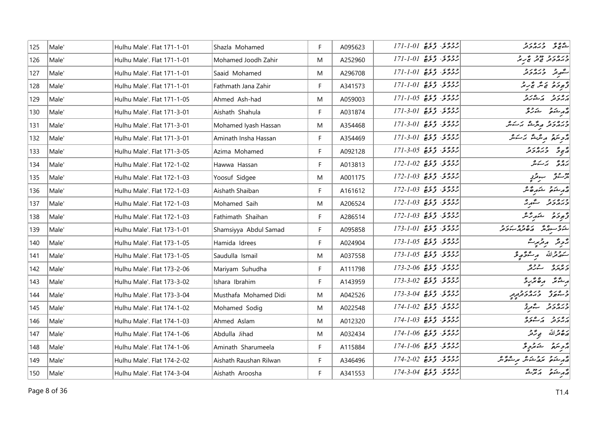| 125 | Male' | Hulhu Male'. Flat 171-1-01 | Shazla Mohamed         | F | A095623 | $171 - 1 - 01$ وَوَصَعَ $10 - 1 - 1$   | أشكار وره دو                           |
|-----|-------|----------------------------|------------------------|---|---------|----------------------------------------|----------------------------------------|
| 126 | Male' | Hulhu Male'. Flat 171-1-01 | Mohamed Joodh Zahir    | M | A252960 | $171 - 1 - 01$ $22 - 532$              | وره رو دوو پر د                        |
| 127 | Male' | Hulhu Male'. Flat 171-1-01 | Saaid Mohamed          | M | A296708 | $171 - 1 - 01$ وَوَى $32$              | شهر وره د و                            |
| 128 | Male' | Hulhu Male'. Flat 171-1-01 | Fathmath Jana Zahir    | F | A341573 | $171 - 1 - 01$ وَوَى $32$              | قهوخهم فأمثر لجربته                    |
| 129 | Male' | Hulhu Male'. Flat 171-1-05 | Ahmed Ash-had          | M | A059003 | $171 - 1 - 05$ $22.$ $32.$             | رەر دېم شرك                            |
| 130 | Male' | Hulhu Male'. Flat 171-3-01 | Aishath Shahula        | F | A031874 | $171 - 3 - 01$ وَوَصَعَ $10 - 5$       | أمار منكوم المشارقي                    |
| 131 | Male' | Hulhu Male'. Flat 171-3-01 | Mohamed Iyash Hassan   | M | A354468 | $171 - 3 - 01$ وَوَصَعَ $10 - 5$       | وبرەپر مەرگ ئەسەر                      |
| 132 | Male' | Hulhu Male'. Flat 171-3-01 | Aminath Insha Hassan   | F | A354469 | $171 - 3 - 01$ $22 - 52$               | أأدوبترة أرباهية الاسكان               |
| 133 | Male' | Hulhu Male'. Flat 171-3-05 | Azima Mohamed          | F | A092128 | $171 - 3 - 05$ $22 - 3 - 3 - 1$        | أثمام وره د و                          |
| 134 | Male' | Hulhu Male'. Flat 172-1-02 | Hawwa Hassan           | F | A013813 | $172 - 1 - 02$ وَوَصَعَ $02 - 1 - 1$   | برەۋ برسكىر                            |
| 135 | Male' | Hulhu Male'. Flat 172-1-03 | Yoosuf Sidgee          | M | A001175 | $172 - 1 - 03$ وَوَصَعَ $0.52$         | دد حره<br>سبوقرتمي                     |
| 136 | Male' | Hulhu Male'. Flat 172-1-03 | Aishath Shaiban        | F | A161612 | $172 - 1 - 03$ وَوَصَعَ $0.52$         | مەرشكى شەرقىر                          |
| 137 | Male' | Hulhu Male'. Flat 172-1-03 | Mohamed Saih           | M | A206524 | $172 - 1 - 03$ $253 - 552$             | ورەرو شهره                             |
| 138 | Male' | Hulhu Male'. Flat 172-1-03 | Fathimath Shaihan      | F | A286514 | $172 - 1 - 03$ وَوَصَعَ $172 - 1 - 03$ | أزًە ئەڭ ئىسرىشىر                      |
| 139 | Male' | Hulhu Male'. Flat 173-1-01 | Shamsiyya Abdul Samad  | F | A095858 | $173 - 1 - 01$ $223 - 532$             | ده ده ده ده درو<br>شرو سهر ماه در سوتر |
| 140 | Male' | Hulhu Male'. Flat 173-1-05 | Hamida Idrees          | F | A024904 | $173 - 1 - 05$ $22.$ $32$              | بڑجونڈ ارتٹر پر ک                      |
| 141 | Male' | Hulhu Male'. Flat 173-1-05 | Saudulla Ismail        | M | A037558 | $173 - 1 - 05$ $22.$ $32.$             | حقيقه الله مرتفقه ويحر                 |
| 142 | Male' | Hulhu Male'. Flat 173-2-06 | Mariyam Suhudha        | F | A111798 | $173 - 2 - 06$ $22 - 532$              | ر ہ رہ دی۔<br>ویمربرو کے رقر           |
| 143 | Male' | Hulhu Male'. Flat 173-3-02 | Ishara Ibrahim         | F | A143959 | $173 - 3 - 02$ وَوَصَعَ $02$ -3-3      | مشمر مقترح                             |
| 144 | Male' | Hulhu Male'. Flat 173-3-04 | Musthafa Mohamed Didi  | M | A042526 | $173 - 3 - 04$ $223 - 522$             |                                        |
| 145 | Male' | Hulhu Male'. Flat 174-1-02 | Mohamed Sodig          | M | A022548 | $174 - 1 - 02$ وَوَصَعَ $02 - 1 - 1$   | ورەر دېمبۇر                            |
| 146 | Male' | Hulhu Male'. Flat 174-1-03 | Ahmed Aslam            | M | A012320 | $174 - 1 - 03$ $223 - 522$             | رەرد پەرەرە                            |
| 147 | Male' | Hulhu Male'. Flat 174-1-06 | Abdulla Jihad          | M | A032434 | $174 - 1 - 06$ وَوَصَعَ $6$ -1-174     | پره قرالله یو ترتر                     |
| 148 | Male' | Hulhu Male'. Flat 174-1-06 | Aminath Sharumeela     | F | A115884 | $174 - 1 - 06$ $22.$ $33.2$            | أأزو سكو المستكر والمحر                |
| 149 | Male' | Hulhu Male'. Flat 174-2-02 | Aishath Raushan Rilwan | F | A346496 | $174 - 2 - 02$ $253 - 552$             | ەر شەھ بىرە شەش بىر شەھ س              |
| 150 | Male' | Hulhu Male'. Flat 174-3-04 | Aishath Aroosha        | F | A341553 | $174 - 3 - 04$ $22 - 52$               | أمار ويتمرج والمراجع                   |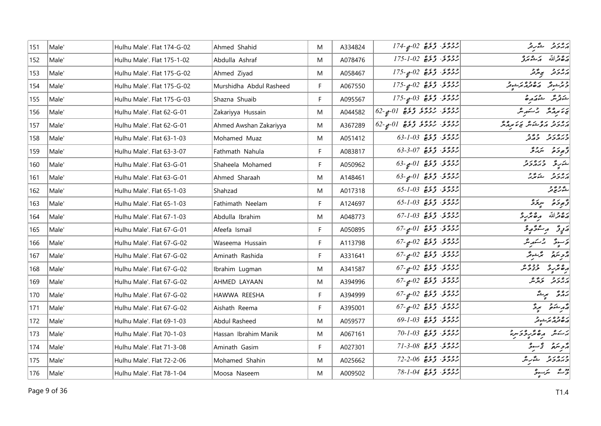| 151 | Male' | Hulhu Male'. Flat 174-G-02 | Ahmed Shahid            | M         | A334824 | $174$ - ووی $-02$ - وِ $-174$                      | رەر دېر گ                         |
|-----|-------|----------------------------|-------------------------|-----------|---------|----------------------------------------------------|-----------------------------------|
| 152 | Male' | Hulhu Male'. Flat 175-1-02 | Abdulla Ashraf          | M         | A078476 | $175 - 1 - 02$ وَوَصَعَ $02 - 1 - 1$               | حقة الله م شومره                  |
| 153 | Male' | Hulhu Male'. Flat 175-G-02 | Ahmed Ziyad             | M         | A058467 | $175 - 02$ وَذَكَرٍ وَالْمَسْتَقْ $-175$           | أبره روبه والمحمد                 |
| 154 | Male' | Hulhu Male'. Flat 175-G-02 | Murshidha Abdul Rasheed | F         | A067550 | $175 - 02$ وَتَحْرَى $9.2$ - وَحْرَمَ $9.2$        | ا د و د شوتر می ده د د د د د د د  |
| 155 | Male' | Hulhu Male'. Flat 175-G-03 | Shazna Shuaib           | F         | A095567 | $175 - 03$ وَوَى $2$                               | شەۋرىتر شەررە 2                   |
| 156 | Male' | Hulhu Male'. Flat 62-G-01  | Zakariyya Hussain       | M         | A044582 | $62$ - د د د د و و و و ال-م - $01$                 | בלאמרית הרבואות                   |
| 157 | Male' | Hulhu Male'. Flat 62-G-01  | Ahmed Awshan Zakariyya  | M         | A367289 | $62 - 01$ وَمَحْدًى مَعْدَّدَّةً وَمَحْظَ $01 - 9$ | ג פיני גם גם גן גם ה              |
| 158 | Male' | Hulhu Male'. Flat 63-1-03  | Mohamed Muaz            | M         | A051412 | $63 - 1 - 03$ $22$ $3 - 2$                         | כנסנכ כשב<br><i>כג</i> ונכנג כולנ |
| 159 | Male' | Hulhu Male'. Flat 63-3-07  | Fathmath Nahula         | F         | A083817 | $63 - 3 - 07$ $22$ $3 - 52$                        | أوَّ جِوحَةُ مِسْرَحَمْدُ         |
| 160 | Male' | Hulhu Male'. Flat 63-G-01  | Shaheela Mohamed        | F         | A050962 | $63 - 01$ $22$ $32$                                | شەرپۇ دېرەرد                      |
| 161 | Male' | Hulhu Male'. Flat 63-G-01  | Ahmed Sharaah           | M         | A148461 | $63 - 01$ حَرْدَ وَ وَ عَنْ $01$ - مِي -63         | رەر شەر                           |
| 162 | Male' | Hulhu Male'. Flat 65-1-03  | Shahzad                 | M         | A017318 | $65 - 1 - 03$ $22$ $3 - 22$                        | ے پڑھ تر                          |
| 163 | Male' | Hulhu Male'. Flat 65-1-03  | Fathimath Neelam        | F         | A124697 | $65 - 1 - 03$ $22$ $3 - 22$                        | أزَّمودَة بِ سِرْدَدْ             |
| 164 | Male' | Hulhu Male'. Flat 67-1-03  | Abdulla Ibrahim         | M         | A048773 | $67 - 1 - 03$ $22$ $32$                            | ەھىراللە<br>رە ئەرد               |
| 165 | Male' | Hulhu Male'. Flat 67-G-01  | Afeefa Ismail           | F         | A050895 | $67 - 01$ مَرْدَّدَ. وْدْعْ $10 - 4$               | مَرِرُدٌ مِــْحَمِيحُ             |
| 166 | Male' | Hulhu Male'. Flat 67-G-02  | Waseema Hussain         | F         | A113798 | $67 - 02$ وَذَكَرَ وَذَكَ $-12$                    | ق سوڭ بر جسكور مىشر               |
| 167 | Male' | Hulhu Male'. Flat 67-G-02  | Aminath Rashida         | F         | A331641 | $67 - 02$ $22$ $32$                                | مەھ ئىكى ئىم ئىشىرىگە             |
| 168 | Male' | Hulhu Male'. Flat 67-G-02  | Ibrahim Lugman          | M         | A341587 | $67 - 02$ $22$ $32$                                | رەپرىرو دومور                     |
| 169 | Male' | Hulhu Male'. Flat 67-G-02  | AHMED LAYAAN            | M         | A394996 | $67 - 02$ وَوَعْ $02 - 02$ وَحَ                    | رەر رور                           |
| 170 | Male' | Hulhu Male'. Flat 67-G-02  | HAWWA REESHA            | F         | A394999 | $67 - 02$ وَوَى $2$                                | پروی پرت                          |
| 171 | Male' | Hulhu Male'. Flat 67-G-02  | Aishath Reema           | F         | A395001 | $67 - 02$ وَذَكَرَ وَذَكَ $02 - 02$                | ړُ د شوه پروگ                     |
| 172 | Male' | Hulhu Male'. Flat 69-1-03  | <b>Abdul Rasheed</b>    | M         | A059577 | $69 - 1 - 03$ $22$ $32$                            | رە دە پرىشى <i>تى</i>             |
| 173 | Male' | Hulhu Male'. Flat 70-1-03  | Hassan Ibrahim Manik    | M         | A067161 | $70 - 1 - 03$ $22 - 32$                            | برسكر معترج وسرا                  |
| 174 | Male' | Hulhu Male'. Flat 71-3-08  | Aminath Gasim           | F         | A027301 | $71 - 3 - 08$ $22 - 52$                            | ومحر سنتمر ومتح سواد              |
| 175 | Male' | Hulhu Male'. Flat 72-2-06  | Mohamed Shahin          | M         | A025662 | $72 - 2 - 06$ وَوَصَعَ 20-2-72                     | ورەرو شەرش                        |
| 176 | Male' | Hulhu Male'. Flat 78-1-04  | Moosa Naseem            | ${\sf M}$ | A009502 | $78 - 1 - 04$ $22$ $32$                            | دیم سرکس دی                       |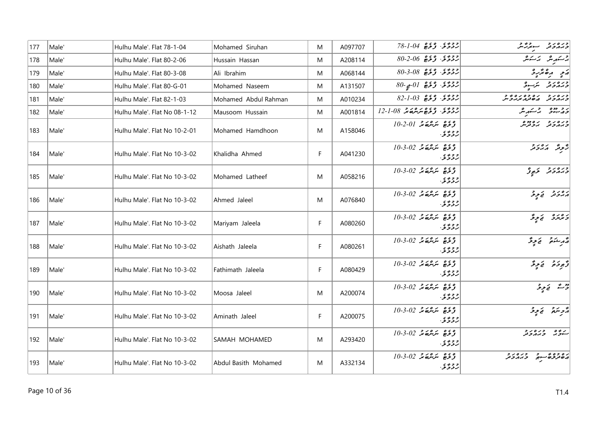| 177 | Male' | Hulhu Male'. Flat 78-1-04    | Mohamed Siruhan      | M           | A097707 | $78 - 1 - 04$ $22$ $32$                                      | ورەرو سەرەر                                     |
|-----|-------|------------------------------|----------------------|-------------|---------|--------------------------------------------------------------|-------------------------------------------------|
| 178 | Male' | Hulhu Male'. Flat 80-2-06    | Hussain Hassan       | M           | A208114 | $80 - 2 - 06$ $22 - 32$                                      | چەكىرىش ئەسكىش                                  |
| 179 | Male' | Hulhu Male'. Flat 80-3-08    | Ali Ibrahim          | M           | A068144 | $80 - 3 - 08$ $22 - 3 - 3$                                   | أتمو مقترع                                      |
| 180 | Male' | Hulhu Male'. Flat 80-G-01    | Mohamed Naseem       | M           | A131507 | $80 - 01$ $22$ $32$                                          | ورەرو شەرە                                      |
| 181 | Male' | Hulhu Male'. Flat 82-1-03    | Mohamed Abdul Rahman | M           | A010234 | $82 - 1 - 03$ $22 - 3$                                       | כנסני ניסיפסנסיפי<br>בגהכת השתה <i>בגיב</i> ית  |
| 182 | Male' | Hulhu Male'. Flat No 08-1-12 | Mausoom Hussain      | M           | A001814 | 222 - ووقع مرمود 12-1-12                                     | גברים בגיותיות                                  |
| 183 | Male' | Hulhu Male'. Flat No 10-2-01 | Mohamed Hamdhoon     | M           | A158046 | $10-2-01$ $259$ $-259$<br>ر د وي.<br>رند و تو .              | وره روبر ده دوه<br><i>و بر دو در بر</i> و ترس   |
| 184 | Male' | Hulhu Male'. Flat No 10-3-02 | Khalidha Ahmed       | F.          | A041230 | $10 - 3 - 02$ $22 - 20$<br><u>رووي.</u>                      | رَّحِيرٌ 1975مَ                                 |
| 185 | Male' | Hulhu Male'. Flat No 10-3-02 | Mohamed Latheef      | M           | A058216 | $10 - 3 - 02$ $22 - 20$<br>و و و ء .<br>رو و تو .            | وبرەر ت توپۇ                                    |
| 186 | Male' | Hulhu Male'. Flat No 10-3-02 | Ahmed Jaleel         | M           | A076840 | $10 - 3 - 02$ $22 - 20$<br><u>رووي.</u>                      | رەرد ئەرد                                       |
| 187 | Male' | Hulhu Male'. Flat No 10-3-02 | Mariyam Jaleela      | F           | A080260 | $10 - 3 - 02$ $22 - 20$<br>ر و و و .<br>رنگوری               | و وره تے پیگر                                   |
| 188 | Male' | Hulhu Male'. Flat No 10-3-02 | Aishath Jaleela      | F           | A080261 | $10 - 3 - 02$ $22 - 20$<br>ر و و و .<br>رنگوری               | وكركو فيجر                                      |
| 189 | Male' | Hulhu Male'. Flat No 10-3-02 | Fathimath Jaleela    | $\mathsf F$ | A080429 | $10 - 3 - 02$ $22 - 20$<br>و و و ء .<br>رندگرمو              | وَجِوحَ وَيَجِعَ                                |
| 190 | Male' | Hulhu Male'. Flat No 10-3-02 | Moosa Jaleel         | M           | A200074 | $10 - 3 - 02$ $22 - 20$<br>ر د وي.<br>رنگوري                 | وَرَحْدَ نَجْ وِلْوَدْ                          |
| 191 | Male' | Hulhu Male'. Flat No 10-3-02 | Aminath Jaleel       | F           | A200075 | $10 - 3 - 02$ $22 - 20$<br>ر و و ء .<br>ر ر <del>و</del> و . | وحريتهم فأمرقه                                  |
| 192 | Male' | Hulhu Male'. Flat No 10-3-02 | SAMAH MOHAMED        | M           | A293420 | $10 - 3 - 02$ $22 - 20$<br>و و و ي.<br>رند <del>وگو</del> ٠  | سەۋر<br>و ره د د<br>تر پر ژنو                   |
| 193 | Male' | Hulhu Male'. Flat No 10-3-02 | Abdul Basith Mohamed | M           | A332134 | $10 - 3 - 02$ $22 - 20$<br>و و و ء .<br>رند <del>و</del> نو  | ر 2000 - 2000 00<br>גיסת <i>בס - י</i> ת כמו כת |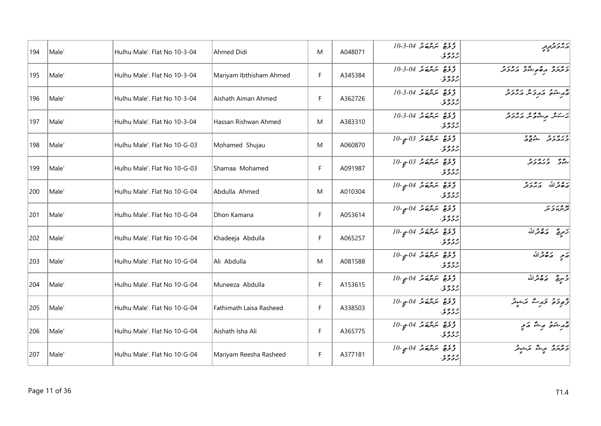| 194 | Male'     | Hulhu Male'. Flat No 10-3-04 | Ahmed Didi              | M  | A048071 | $10-3-04$ $222$ $22$<br>و و و ي.<br>رنونوگو                            | پر د و ترترتر<br>  پر پر ترترتر                                |
|-----|-----------|------------------------------|-------------------------|----|---------|------------------------------------------------------------------------|----------------------------------------------------------------|
| 195 | Male'     | Hulhu Male'. Flat No 10-3-04 | Mariyam Ibthisham Ahmed | F  | A345384 | $10-3-04$ $222$ $22$<br><u>رووي.</u>                                   | נסנס פי 2010 נסנד<br>בינו <i>נד</i> גם <sub>ת יי</sub> וב גגבת |
| 196 | Male'     | Hulhu Male'. Flat No 10-3-04 | Aishath Aiman Ahmed     | F. | A362726 | $10-3-04$ $222$ $22$<br><u>رووي.</u>                                   | ה היים ההכית היכת                                              |
| 197 | Male'     | Hulhu Male'. Flat No 10-3-04 | Hassan Rishwan Ahmed    | M  | A383310 | $10-3-04$ $222$ $22$<br>و و و ي.<br>رنونوگو                            | ر کے مگر مرتفور مرد دی۔<br>بر کے مگر مشرق مرکز مرکز کر دیکھیے  |
| 198 | Male'     | Hulhu Male'. Flat No 10-G-03 | Mohamed Shujau          | M  | A060870 | $10$ -وي مرسمة جمهو $-03$ -مي<br><u>رووي.</u>                          | وره رو دور<br>وبرمرو مشوقے م                                   |
| 199 | Male'     | Hulhu Male'. Flat No 10-G-03 | Shamaa Mohamed          | F. | A091987 | $10$ - وَحْرَمِ مَرْسَرَة حَدَّ $-03$ - وِ $-10$<br><u>رووي.</u>       | رو وره رو<br>شرق وبروفر                                        |
| 200 | $ $ Male' | Hulhu Male'. Flat No 10-G-04 | Abdulla Ahmed           | M  | A010304 | $10$ - وَحْرَمِ مَرْسَرَة $64 - 10$ - وِ<br>و و و ي.<br>رنونونو .      | رەقراللە مەدر                                                  |
| 201 | Male'     | Hulhu Male'. Flat No 10-G-04 | Dhon Kamana             | F  | A053614 | $10$ - وَحْرَمِعَ سَرَسْهَةَ $64$ - وِ $-04$<br><u>رووي.</u>           | بر ہ ر ر<br>قرس کو س                                           |
| 202 | Male'     | Hulhu Male'. Flat No 10-G-04 | Khadeeja Abdulla        | F. | A065257 | $10$ وء ۾ سرس صلاحي -10 جي -10<br>ج و بر ي.<br>رنگوري                  | كتعييق كده فمرالله                                             |
| 203 | $ $ Male' | Hulhu Male'. Flat No 10-G-04 | Ali Abdulla             | M  | A081588 | $10$ - وَحْرَمِ مَرْسُرَة $4.9$ - مِي<br>و و و ي.<br>رنونونو .         | أقدم قائدة                                                     |
| 204 | Male'     | Hulhu Male'. Flat No 10-G-04 | Muneeza Abdulla         | F  | A153615 | $10$ - وَحْرَمِ مَرْسَرَةَ $64 - 10$ - وِ $-10$<br>ج و بر ي.<br>رنگوري | 3سيعٌ صَ <b>صَ</b> قَراللّه                                    |
| 205 | Male'     | Hulhu Male'. Flat No 10-G-04 | Fathimath Laisa Rasheed | F. | A338503 | $10$ - و عن مريد الله عن $-04$<br>و و و ء .<br>رند <del>و</del> نو     | وتجوده ورث ترجور                                               |
| 206 | $ $ Male' | Hulhu Male'. Flat No 10-G-04 | Aishath Isha Ali        | F. | A365775 | وْ وْ عَامِيمْ 10-يې-10<br>و و و ي.<br>رنونونو .                       | وأرشكم ويش وكمح                                                |
| 207 | $ $ Male' | Hulhu Male'. Flat No 10-G-04 | Mariyam Reesha Rasheed  | F  | A377181 | $10$ وع مَرْسُ $-04$ وَحَدَ $-10$<br>ر و و و .<br>رند <del>و</del> و . | ر وره<br>تر <i>بره تر بند بر ش</i> وتر                         |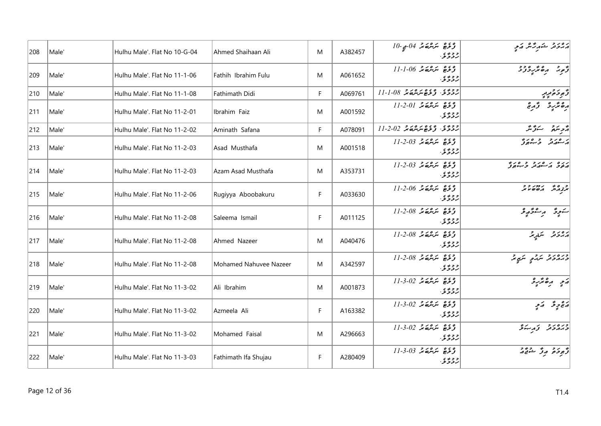| 208 | Male' | Hulhu Male'. Flat No 10-G-04 | Ahmed Shaihaan Ali     | M  | A382457 | $10$ - وَحْرَمِ مَرْسَمَة مِنْ $-04$ - مِي<br>ج و بر ي.<br>رنگوري | ړه د ته څه رشر کمي               |
|-----|-------|------------------------------|------------------------|----|---------|-------------------------------------------------------------------|----------------------------------|
| 209 | Male' | Hulhu Male'. Flat No 11-1-06 | Fathih Ibrahim Fulu    | M  | A061652 | $11 - 1 - 06$ $222 - 22$<br>3 د بري.<br>رنو تر تو .               | ژوړ ره پروور                     |
| 210 | Male' | Hulhu Male'. Flat No 11-1-08 | Fathimath Didi         | F. | A069761 | 222 - وقوع مر من 11-1-08                                          | ر<br>تر موځ موسي                 |
| 211 | Male' | Hulhu Male'. Flat No 11-2-01 | Ibrahim Faiz           | M  | A001592 | $11 - 2 - 01$ $22 - 22$<br>و و و ء .<br>رندگرنگ                   | وهتر و ژويج                      |
| 212 | Male' | Hulhu Male'. Flat No 11-2-02 | Aminath Safana         | F. | A078091 | 22 <i>32. وقوا مرتبطة كى 2-2-11</i>                               | أأروبترة كسنوتير                 |
| 213 | Male' | Hulhu Male'. Flat No 11-2-03 | Asad Musthafa          | M  | A001518 | $11 - 2 - 03$ $22 - 203$<br>و و و ء .<br>رند <del>و</del> نو      | ر عارو و و دره                   |
| 214 | Male' | Hulhu Male'. Flat No 11-2-03 | Azam Asad Musthafa     | M  | A353731 | $11 - 2 - 03$ $222 - 22$<br>ج و بر ي.<br>رنگوري                   |                                  |
| 215 | Male' | Hulhu Male'. Flat No 11-2-06 | Rugiyya Aboobakuru     | F  | A033630 | $11 - 2 - 06$ $222 - 82$<br>و و و ء .<br>رندگرنگ                  | 77/77/707                        |
| 216 | Male' | Hulhu Male'. Flat No 11-2-08 | Saleema Ismail         | F. | A011125 | $11 - 2 - 08$ $22 - 22$<br>و و و ء .<br>رند <del>و</del> نو       | سَوِرَ رِ وَ وَ وَ وَ            |
| 217 | Male' | Hulhu Male'. Flat No 11-2-08 | Ahmed Nazeer           | M  | A040476 | $11 - 2 - 08$ $22 - 22$<br>و و و ء .<br>رند <del>و</del> نو       | رەرو شۆرتى<br>مەدىر شۆرتى        |
| 218 | Male' | Hulhu Male'. Flat No 11-2-08 | Mohamed Nahuvee Nazeer | M  | A342597 | $11 - 2 - 08$ $22 - 22$<br>و و و ء .<br>رند <del>و</del> نو       | ورەرو برقر شهر سكبى              |
| 219 | Male' | Hulhu Male'. Flat No 11-3-02 | Ali Ibrahim            | M  | A001873 | ووع شهد 20-3-11<br>و و و ء .<br>رندگرنگ                           | أربح وكالجرير                    |
| 220 | Male' | Hulhu Male'. Flat No 11-3-02 | Azmeela Ali            | F  | A163382 | وْ دْ ھِ سَرْسْھَ سَ 11-3-02<br>و و و ء .<br>رند <del>و</del> نو  | كالانجاح فتحجم كالمحيا           |
| 221 | Male' | Hulhu Male'. Flat No 11-3-02 | Mohamed Faisal         | M  | A296663 | ووق <i>مربوه پر 20-3-11</i><br>333ع.<br>رنم <b>و</b> څو           | ورەرو ۋەب ك                      |
| 222 | Male' | Hulhu Male'. Flat No 11-3-03 | Fathimath Ifa Shujau   | F  | A280409 | $11 - 3 - 03$ $222 - 62$<br>و و و ء .<br>رند و تو .               | أَوْجِرْ حَمْدٍ فِي مُسْتَوَجِدٍ |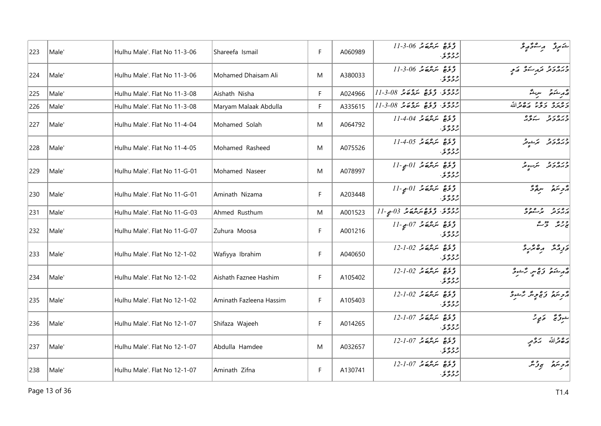| 223 | Male' | Hulhu Male'. Flat No 11-3-06 | Shareefa Ismail         | F           | A060989 | $11 - 3 - 06$ $222 - 22$<br>ر و و ء .<br>رند <del>و</del> و .       | شەيرۇ برىشۇرېۋ                    |
|-----|-------|------------------------------|-------------------------|-------------|---------|---------------------------------------------------------------------|-----------------------------------|
| 224 | Male' | Hulhu Male'. Flat No 11-3-06 | Mohamed Dhaisam Ali     | M           | A380033 | $11 - 3 - 06$ $222 - 22$<br>ج و بر ي.<br>رنگوري                     | ورەرو درىدى كەنج                  |
| 225 | Male' | Hulhu Male'. Flat No 11-3-08 | Aishath Nisha           | F.          | A024966 | <sup>222</sup> ر وءو شهر 11-3-08                                    | أأور مشكاة المسترمثة              |
| 226 | Male' | Hulhu Male'. Flat No 11-3-08 | Maryam Malaak Abdulla   | $\mathsf F$ | A335615 | 3-3-08 مركزة مركزة 11-3-08                                          | رەرە رور رەزالله                  |
| 227 | Male' | Hulhu Male'. Flat No 11-4-04 | Mohamed Solah           | M           | A064792 | وءة شرق 11-4-04<br>و و و ي.<br>رند و گر                             | ورەرو بەدە<br><i>دى</i> دەرى بىۇر |
| 228 | Male' | Hulhu Male'. Flat No 11-4-05 | Mohamed Rasheed         | M           | A075526 | $11 - 4 - 05$ $222 - 82$<br>و و و ء .<br>رند <del>و</del> نو        | ورەرو كەنبەتر                     |
| 229 | Male' | Hulhu Male'. Flat No 11-G-01 | Mohamed Naseer          | M           | A078997 | $11$ - وَوْهِ سَرْسَهَ جَلْ<br>و و و ء .<br>رند <del>و</del> و .    | ورەرو شبەر                        |
| 230 | Male' | Hulhu Male'. Flat No 11-G-01 | Aminath Nizama          | F           | A203448 | وءه مره مع السياسي<br>و و و ي.<br>رنونوگو                           | أزوسكو سيؤثر                      |
| 231 | Male' | Hulhu Male'. Flat No 11-G-03 | Ahmed Rusthum           | M           | A001523 | دووي وءومرومكي 13-يې-11                                             | ره رو و و وه<br>پرېدونر بر سوو    |
| 232 | Male' | Hulhu Male'. Flat No 11-G-07 | Zuhura Moosa            | $\mathsf F$ | A001216 | وْ دْ ھَ سَرْ سْمَعْ 12-يې-11<br>و و و ي.<br>رند و گو.              | پر پر پیمبر میں پیمبر<br>پیمبر پ  |
| 233 | Male' | Hulhu Male'. Flat No 12-1-02 | Wafiyya Ibrahim         | F           | A040650 | ووق سَ <i>مِعْهُ حَ</i> 12-1-21<br>و و و ء .<br>رند <del>و</del> نو | وومثر مقترره                      |
| 234 | Male' | Hulhu Male'. Flat No 12-1-02 | Aishath Faznee Hashim   | F           | A105402 | ووق <del>م</del> ر مقدم 12-1-12<br>ر و و و .<br>رنگوری              | وأرجنتم وتجابر رمحو               |
| 235 | Male' | Hulhu Male'. Flat No 12-1-02 | Aminath Fazleena Hassim | F           | A105403 | ووم شرائع 1-1-12<br>ر و و و .<br>رند <del>و</del> ک                 | ړٌ د سره او چ د سر ر ژھود         |
| 236 | Male' | Hulhu Male'. Flat No 12-1-07 | Shifaza Wajeeh          | F.          | A014265 | ووم شهد 12-1-07<br>و و و ي.<br>رنونوگو                              | أشووٌجٌ وَمَحِ رَ                 |
| 237 | Male' | Hulhu Male'. Flat No 12-1-07 | Abdulla Hamdee          | M           | A032657 | ووم شهد 12-1-07<br>و و و ء .<br>رند <del>و</del> نو                 | 5% مقرالله برومير                 |
| 238 | Male' | Hulhu Male'. Flat No 12-1-07 | Aminath Zifna           | F           | A130741 | $12 - 1 - 07$ $222 - 22$<br>و و و ء .<br>رند <del>و</del> و .       | ړې سره پې تر                      |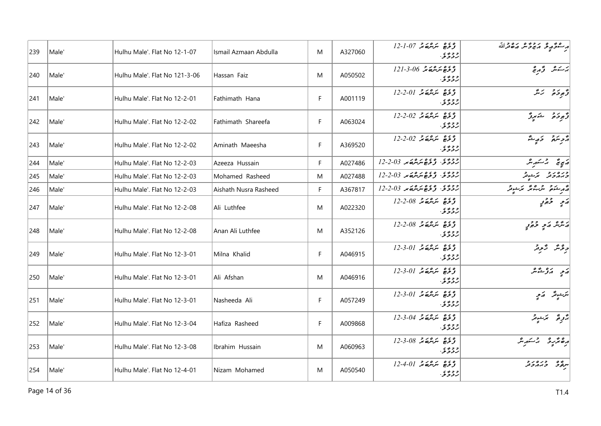| 239           | Male' | Hulhu Male'. Flat No 12-1-07  | Ismail Azmaan Abdulla | Μ           | A327060 | ووق سَرْسَهَ سَ 12-1-07<br>و و و ي.<br>رند و تو .                            | مر عوصر و موجوعه و محدالله                                                                    |
|---------------|-------|-------------------------------|-----------------------|-------------|---------|------------------------------------------------------------------------------|-----------------------------------------------------------------------------------------------|
| 240           | Male' | Hulhu Male'. Flat No 121-3-06 | Hassan Faiz           | М           | A050502 | $121 - 3 - 06$ $222 - 82$<br>و و و ء .<br>رند <del>و</del> نو .              | ىز سەنئە ئەرىج                                                                                |
| 241           | Male' | Hulhu Male'. Flat No 12-2-01  | Fathimath Hana        | $\mathsf F$ | A001119 | <b>12-2-01</b> مَرْسُ قَصَدُ 12-2-01<br>و و و ي.<br>رندگرنگ                  | وٌجوحَع رَسَّ                                                                                 |
| 242           | Male' | Hulhu Male'. Flat No 12-2-02  | Fathimath Shareefa    | F.          | A063024 | <b>12-2-02</b> سَرْسَهُ حَمَد 2-2-12<br>و و و ي.<br>رند و گر                 | وٌمِ وَمُ وَمَعِ وَ                                                                           |
| 243           | Male' | Hulhu Male'. Flat No 12-2-02  | Aminath Maeesha       | $\mathsf F$ | A369520 | ووم شرش 20-2-12<br>ر و و ء .<br>رند <del>و</del> تو .                        | أزويتم وأريث                                                                                  |
| 244           | Male' | Hulhu Male'. Flat No 12-2-03  | Azeeza Hussain        | F.          | A027486 | 22°3. وء مشهد 20-2-12                                                        |                                                                                               |
| 245           | Male' | Hulhu Male'. Flat No 12-2-03  | Mohamed Rasheed       | M           | A027488 | 22°3. ووڤ مرم صدر 2-2-12                                                     | ە يەنى ئەسكىر سى<br>ئەسكەن ئەسكىدىگى<br>ئەسكەن ئىسكىنى ئەسكىرىگە<br>ئەسكەن ئىرىدىگە ئەسكىرىگە |
| 246           | Male' | Hulhu Male'. Flat No 12-2-03  | Aishath Nusra Rasheed | F.          | A367817 | 22°3. ووڤ مرمضد 20-2-12                                                      |                                                                                               |
| 247           | Male' | Hulhu Male'. Flat No 12-2-08  | Ali Luthfee           | M           | A022320 | <i>22-08 سَرْسُهَ حَمَّ</i> 2-2-12<br>و و و ي.<br>رند و گو.                  | ړَ په دُوړ                                                                                    |
| 248           | Male' | Hulhu Male'. Flat No 12-2-08  | Anan Ali Luthfee      | M           | A352126 | ووم شرائع 2-2-12<br>ووم شرائع من<br>ر و و ء .<br>رند <del>و</del> تو .       | أر ترتكر أرجع الحرجومي                                                                        |
| $ 249\rangle$ | Male' | Hulhu Male'. Flat No 12-3-01  | Milna Khalid          | F.          | A046915 | <b>12-3-01</b> مَرْسُرْهَ عَمْ 12-3-01<br>و و و ء .<br>رند <del>و</del> نو . | دِ وَ شَرْ دَ دِ تَرْ                                                                         |
| 250           | Male' | Hulhu Male'. Flat No 12-3-01  | Ali Afshan            | M           | A046916 | ووم شرش 12-3-01<br>و و و ء .<br>رنونونو .                                    | أريمو أيروث شرشر                                                                              |
| 251           | Male' | Hulhu Male'. Flat No 12-3-01  | Nasheeda Ali          | F           | A057249 | <b>12-3-01</b> مَرْسُرْهَ عَمْ 12-3-01<br>و و و ي.<br>رندگرنگ                | لترجيش كالمح                                                                                  |
| 252           | Male' | Hulhu Male'. Flat No 12-3-04  | Hafiza Rasheed        | F.          | A009868 | ووق سَرْسْهُ سَنَ 12-3-04<br>ر و و د ي.<br>رند <del>و</del> نو               | بَرُوِمَّ - مَرْشونْر                                                                         |
| 253           | Male' | Hulhu Male'. Flat No 12-3-08  | Ibrahim Hussain       | M           | A060963 | ووه شهده حدود 12-3-08<br>ر و و د ي.<br>رند <del>و</del> نو                   | مەھ ئىر ئىس ئىسرىس                                                                            |
| 254           | Male' | Hulhu Male'. Flat No 12-4-01  | Nizam Mohamed         | M           | A050540 | وءو شر <i>مون 12-4-12</i><br>و و و ء .<br>رند <del>و</del> نو .              | ستجو وره دو                                                                                   |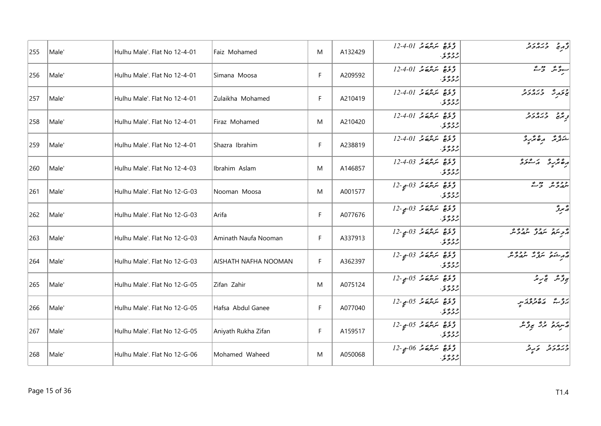| 255 | Male' | Hulhu Male'. Flat No 12-4-01 | Faiz Mohamed                | M           | A132429 | $12 - 4 - 01$ $22 - 22$<br>و و و ء .<br>رنونوگو                   | وٌ د سم دره د د                                  |
|-----|-------|------------------------------|-----------------------------|-------------|---------|-------------------------------------------------------------------|--------------------------------------------------|
| 256 | Male' | Hulhu Male'. Flat No 12-4-01 | Simana Moosa                | F           | A209592 | $12 - 4 - 01$ $22 - 22$<br>و و و ي.<br>رنونوگو                    | د ديگر<br>اسوۋىتر                                |
| 257 | Male' | Hulhu Male'. Flat No 12-4-01 | Zulaikha Mohamed            | F           | A210419 | $12 - 4 - 01$ $22 - 22$<br>و و و ء .<br>رند <del>و</del> نو       | و رە ر د<br>تر پر پر تر<br>چ ئۇ بەر <sup>3</sup> |
| 258 | Male' | Hulhu Male'. Flat No 12-4-01 | Firaz Mohamed               | M           | A210420 | $12 - 4 - 01$ $22 - 22$<br>ر و و و .<br>رند <del>و</del> تو .     | و مده دره در د                                   |
| 259 | Male' | Hulhu Male'. Flat No 12-4-01 | Shazra Ibrahim              | F           | A238819 | $12 - 4 - 01$ $22 - 22$<br>و و و ء .<br>رند <del>و</del> و .      | شونرنز بره تررو                                  |
| 260 | Male' | Hulhu Male'. Flat No 12-4-03 | Ibrahim Aslam               | M           | A146857 | $12 - 4 - 03$ $22 - 62$<br>و و و ء .<br>رند <del>و</del> نو .     | مەھرىرى كەسىرى                                   |
| 261 | Male' | Hulhu Male'. Flat No 12-G-03 | Nooman Moosa                | M           | A001577 | و و و ي.<br>رنونونو .                                             | يرووه وورم                                       |
| 262 | Male' | Hulhu Male'. Flat No 12-G-03 | Arifa                       | F           | A077676 | $12 - 03$ $22 - 03$<br>333ع.<br>رنم <b>ر</b> ئر                   | رحميروشح                                         |
| 263 | Male' | Hulhu Male'. Flat No 12-G-03 | Aminath Naufa Nooman        | F           | A337913 | $12 - 03$ $\sim$ $\sim$ $\frac{1}{2}$<br>و و و ي.<br>رنونوگو      | و سرد دور دوره<br>مرد شهر شهر سهرس               |
| 264 | Male' | Hulhu Male'. Flat No 12-G-03 | <b>AISHATH NAFHA NOOMAN</b> | F           | A362397 | $12 - 03$ $22 - 03$<br>و و و ي.<br>رند و تو .                     | و دره و ده و دوره و در د                         |
| 265 | Male' | Hulhu Male'. Flat No 12-G-05 | Zifan Zahir                 | M           | A075124 | $12 - 05$ $22 - 05$ $259$<br>و و و ء .<br>رند <del>و</del> نو .   | ىرۇش ئېرىتە                                      |
| 266 | Male' | Hulhu Male'. Flat No 12-G-05 | Hafsa Abdul Ganee           | $\mathsf F$ | A077040 | $12$ - وَحْرَمِ مَرْسَرَةَ حَمَد $-05$ - وِ<br><i>ر د څ</i> وگ    | ره په ره ده در سر                                |
| 267 | Male' | Hulhu Male'. Flat No 12-G-05 | Aniyath Rukha Zifan         | F           | A159517 | $12$ - وَحْرَمْ مَرْسُوْهُ مِنْ $05$ - مِي<br>و و و ي.<br>رنونوگو | أوسروه برز برؤمر                                 |
| 268 | Male' | Hulhu Male'. Flat No 12-G-06 | Mohamed Waheed              | M           | A050068 | $12 - 06$ مَرْحَمَ $00 - 12 - 12$<br>و و و ء .<br>رند و تو .      | כנפנפ בנב                                        |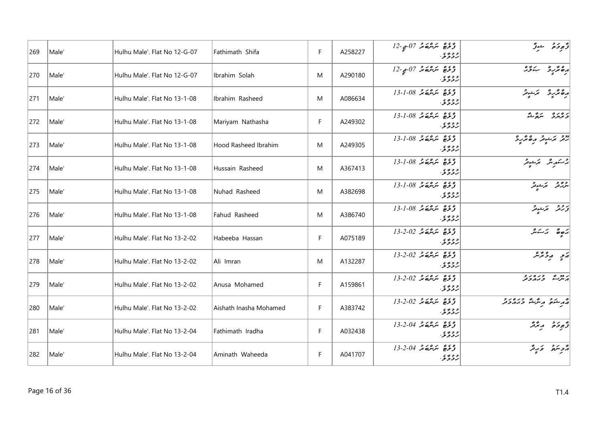| 269 | Male' | Hulhu Male'. Flat No 12-G-07 | Fathimath Shifa             | $\mathsf F$ | A258227 | $12 - 07$ مَرْحَمَ مَسْتَمَعَة $-07$<br>و و و ي.<br>رنونونو .           | ۇي <sub>م</sub> وڭ <sub>ۇ</sub> سوۇ         |
|-----|-------|------------------------------|-----------------------------|-------------|---------|-------------------------------------------------------------------------|---------------------------------------------|
| 270 | Male' | Hulhu Male'. Flat No 12-G-07 | Ibrahim Solah               | M           | A290180 | $12$ - وَحْرَمِ سَرْسَرَهُ عَلَى $-07$ - مِي<br>و و و ء .<br>رند و تو . | ىبە ئەر<br>ە ھەترىر <sup>ە</sup>            |
| 271 | Male' | Hulhu Male'. Flat No 13-1-08 | Ibrahim Rasheed             | M           | A086634 | ووه شهده 13-1-81<br>و و و ي.<br>رنونوگو                                 | رەتزىر ترىنوتر                              |
| 272 | Male' | Hulhu Male'. Flat No 13-1-08 | Mariyam Nathasha            | F           | A249302 | <b>13-1-08</b> مَرْسَ 13-1-81<br>و و و ء .<br>رند <del>و</del> نو .     | رەرە بىرگىدۇ.                               |
| 273 | Male' | Hulhu Male'. Flat No 13-1-08 | <b>Hood Rasheed Ibrahim</b> | M           | A249305 | $13 - 1 - 08$ $222 - 22$<br>و و و ء .<br>رند <del>و</del> و .           | دد بر و د ه بر د ک                          |
| 274 | Male' | Hulhu Male'. Flat No 13-1-08 | Hussain Rasheed             | M           | A367413 | <i>ووق سَرْسَعْ حَمَّا-1-13</i><br>و و و ي.<br>رنگوري                   | برسكور كرشوش                                |
| 275 | Male' | Hulhu Male'. Flat No 13-1-08 | Nuhad Rasheed               | M           | A382698 | ووم شهد 13-1-08<br>و و و ء .<br>رند <del>و</del> نو .                   | ووو گرشونژ<br>سربراند گرشونژ                |
| 276 | Male' | Hulhu Male'. Flat No 13-1-08 | Fahud Rasheed               | M           | A386740 | <i>ووق سَرْسَعْ حَمَّا-1-13</i><br>و و و ء .<br>رند <del>و</del> و .    | كروو المرجومر                               |
| 277 | Male' | Hulhu Male'. Flat No 13-2-02 | Habeeba Hassan              | F           | A075189 | $13 - 2 - 02$ $22 - 22$<br>و و و ي.<br>رنگوري                           | برَحدة برَسَنَرْ                            |
| 278 | Male' | Hulhu Male'. Flat No 13-2-02 | Ali Imran                   | M           | A132287 | $13 - 2 - 02$ $22 - 22$<br>و و و ء .<br>رند <del>و</del> نو .           | ړې پروتر ش                                  |
| 279 | Male' | Hulhu Male'. Flat No 13-2-02 | Anusa Mohamed               | F           | A159861 | <b>13-2-02</b> سَرْسَهُ صَدَّ 13-2-02<br>و و و ي.<br>رنونوگو            | و رە ر د<br>تر تر تر تر<br>ر دو په<br>مرسرت |
| 280 | Male' | Hulhu Male'. Flat No 13-2-02 | Aishath Inasha Mohamed      | F           | A383742 | $13 - 2 - 02$ $22 - 22$<br>و و و ء .<br>رنونوگو                         | مەر خۇم كەنگىش دىرەرد                       |
| 281 | Male' | Hulhu Male'. Flat No 13-2-04 | Fathimath Iradha            | $\mathsf F$ | A032438 | $13 - 2 - 04$ $222 - 24$<br>و و و ء .<br>رند <del>و</del> نو .          | ژودو رنژنژ                                  |
| 282 | Male' | Hulhu Male'. Flat No 13-2-04 | Aminath Waheeda             | F           | A041707 | $13 - 2 - 04$ $222 - 24$<br>و و و ء .<br>رند <del>و</del> نو            | وحريرة والمحالية                            |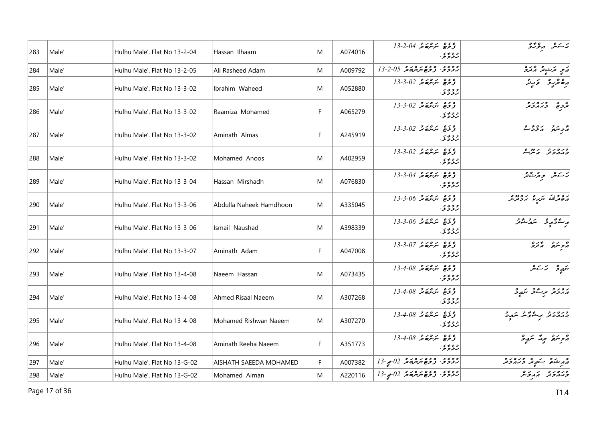| 283 | Male' | Hulhu Male'. Flat No 13-2-04 | Hassan Ilhaam           | M           | A074016 | <i>13-2-04 كروهة 13-2-13</i><br><i>ر د څ</i> وگ                  | برسەش مەمرىرد                                       |
|-----|-------|------------------------------|-------------------------|-------------|---------|------------------------------------------------------------------|-----------------------------------------------------|
| 284 | Male' | Hulhu Male'. Flat No 13-2-05 | Ali Rasheed Adam        | M           | A009792 | 332 - 3 <i>49 مربوعة كى 2-05-13</i>                              | .<br>د پو برخونه د دره                              |
| 285 | Male' | Hulhu Male'. Flat No 13-3-02 | Ibrahim Waheed          | M           | A052880 | $13 - 3 - 02$ $22 - 202$<br>و و و ي.<br>رنونوگو                  | مەھترىرى ئەيى                                       |
| 286 | Male' | Hulhu Male'. Flat No 13-3-02 | Raamiza Mohamed         | F.          | A065279 | ووم <i>مربوم بر 13-3-02</i><br>و و و ي.<br>رندگرنو .             | و رە ر د<br><i>د بە</i> د تر<br>پۇ <sub>چە</sub> بۇ |
| 287 | Male' | Hulhu Male'. Flat No 13-3-02 | Aminath Almas           | F           | A245919 | ووم <i>مربوه بر 13-3-02</i><br>ر و و و .<br>رند <del>و</del> و . | مەمەسى مەمەر                                        |
| 288 | Male' | Hulhu Male'. Flat No 13-3-02 | Mohamed Anoos           | M           | A402959 | <i>ووفي سَرْسُهُ جِي 13-3-13</i><br>و و و ي.<br>رندگرنو .        | כנסנכ גמפים<br>כגמכנג היתי                          |
| 289 | Male' | Hulhu Male'. Flat No 13-3-04 | Hassan Mirshadh         | M           | A076830 | ووه شهده 13-3-04<br>ر و و و .<br>رنگوری                          | يركبش ويرتشقر                                       |
| 290 | Male' | Hulhu Male'. Flat No 13-3-06 | Abdulla Naheek Hamdhoon | M           | A335045 | $13 - 3 - 06$ $222 - 82$<br>ر و و د ي.<br>رنگوري                 | برە داللە تتربە برە دە                              |
| 291 | Male' | Hulhu Male'. Flat No 13-3-06 | Ismail Naushad          | M           | A398339 | <b>13-3-06</b> مَرْسُرْهَ مَنْ 13-3-06<br>و و و ي.<br>رنگوري     | و شۇرچى سەر شەر                                     |
| 292 | Male' | Hulhu Male'. Flat No 13-3-07 | Aminath Adam            | $\mathsf F$ | A047008 | $13 - 3 - 07$ $222 - 82$<br>و و د ي.<br>رنوتونو .                | و سر دره                                            |
| 293 | Male' | Hulhu Male'. Flat No 13-4-08 | Naeem Hassan            | M           | A073435 | $13 - 4 - 08$ $222 - 8$<br>ج و بر ي.<br>رنگوري                   | بتمدفر الماشكس                                      |
| 294 | Male' | Hulhu Male'. Flat No 13-4-08 | Ahmed Risaal Naeem      | M           | A307268 | <i>ووفي مترشقة</i> 13-4-08<br>و و و ي.<br>رنگوري                 | رەرد برگۇ شەر                                       |
| 295 | Male' | Hulhu Male'. Flat No 13-4-08 | Mohamed Rishwan Naeem   | M           | A307270 | ووق سَرْسَهُ سَنَ 13-4-08<br>و و و ي.<br>رنونوگو                 | ورەر و پرىشوش شەر                                   |
| 296 | Male' | Hulhu Male'. Flat No 13-4-08 | Aminath Reeha Naeem     | F           | A351773 | <i>13-4-08</i> مَرْسَعَة حَمَّ<br>و و و ي.<br>رنگوري             | أأوسم برائه سمدفر                                   |
| 297 | Male' | Hulhu Male'. Flat No 13-G-02 | AISHATH SAEEDA MOHAMED  | F           | A007382 | رووي وء وعامر من 20-ي-13.                                        | و مشرح کے درور د<br>مگر شرقی کے میکر حداد حالی      |
| 298 | Male' | Hulhu Male'. Flat No 13-G-02 | Mohamed Aiman           | M           | A220116 | 332 - ووقع مرش من 22- و-13                                       | כגמכנק ההכית                                        |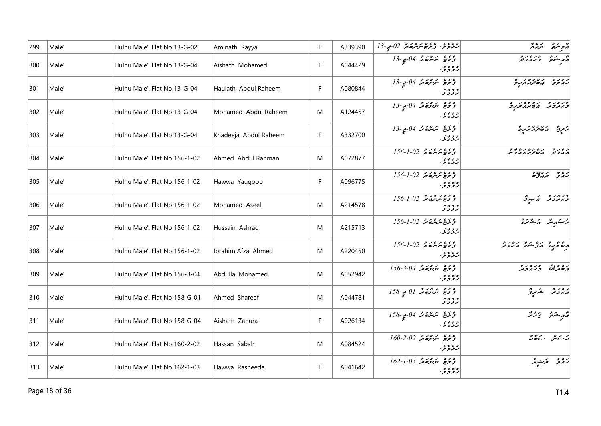| 299 | Male' | Hulhu Male'. Flat No 13-G-02  | Aminath Rayya         | F. | A339390 | $13 - 02$ حِمْدَة مِنْ سَمْعَة حَمَد 20 - قِي -13 $\sim$                                     | הבתים גם                                         |
|-----|-------|-------------------------------|-----------------------|----|---------|----------------------------------------------------------------------------------------------|--------------------------------------------------|
| 300 | Male' | Hulhu Male'. Flat No 13-G-04  | Aishath Mohamed       | F. | A044429 | ووم سَرْسَهُ جَلْ-13- وِ-13<br>و و و ء .<br>رند <del>و</del> نو .                            | و دره دره در در<br>وگرشوه وبردونر                |
| 301 | Male' | Hulhu Male'. Flat No 13-G-04  | Haulath Abdul Raheem  | F  | A080844 | $13 - 04$ $-04$ $-04$ $-04$<br>و و و ء .<br>رند <del>و</del> نو                              | ر כנ כ"כ כם כ"ס.<br>החיצים "הסינח הביב           |
| 302 | Male' | Hulhu Male'. Flat No 13-G-04  | Mohamed Abdul Raheem  | M  | A124457 | $13 - 04$ $-22$ $-22$<br>ر د و و .<br>رند و گو                                               | وره روحده ورده                                   |
| 303 | Male' | Hulhu Male'. Flat No 13-G-04  | Khadeeja Abdul Raheem | F. | A332700 | وْ وْ عَرْضْ 14- وْ -13<br>ر و و ي.<br>رند <del>و</del> تو .                                 | زىر ئەمەدەر ۋ                                    |
| 304 | Male' | Hulhu Male'. Flat No 156-1-02 | Ahmed Abdul Rahman    | M  | A072877 | $156 - 1 - 02$<br>333ع.<br>رنم <b>ر</b> ئر                                                   | ره ر د در ده ده ده و.<br>م.پروتر م. ماره پرپروتر |
| 305 | Male' | Hulhu Male'. Flat No 156-1-02 | Hawwa Yaugoob         | F  | A096775 | $156 - 1 - 02$<br>و و و ي.<br>رنونوگو                                                        | גם זי גרדב<br>גרע תגצים                          |
| 306 | Male' | Hulhu Male'. Flat No 156-1-02 | Mohamed Aseel         | M  | A214578 | $156 - 1 - 02$ $222 - 22$<br>333ع.<br>رنم <b>ر</b> ئر                                        | ورەر دىبو                                        |
| 307 | Male' | Hulhu Male'. Flat No 156-1-02 | Hussain Ashrag        | M  | A215713 | $156 - 1 - 02$ $222 - 222$<br>ر و و ء .<br>رندگري .                                          | جر سکھر مگر مگر شاہ مرتبی                        |
| 308 | Male' | Hulhu Male'. Flat No 156-1-02 | Ibrahim Afzal Ahmed   | M  | A220450 | $156 - 1 - 02$ $222 - 82$<br>و و و ء .<br>رند <del>و</del> نو                                | ם משתיכ הצייאיב המכת                             |
| 309 | Male' | Hulhu Male'. Flat No 156-3-04 | Abdulla Mohamed       | M  | A052942 | $156 - 3 - 04$ $\frac{2}{3}$ $\frac{6}{3}$ $\frac{6}{3}$<br>و و و ء .<br>رند <del>و</del> نو | ره و الله حده د د<br>مه هغرالله حدم حمد          |
| 310 | Male' | Hulhu Male'. Flat No 158-G-01 | Ahmed Shareef         | M  | A044781 | $158 - 01$ وَوَضَعَ سَرَسْهَمْ $10 - 4$<br>222°.<br>رنونوگو                                  | برەر دېمبولى                                     |
| 311 | Male' | Hulhu Male'. Flat No 158-G-04 | Aishath Zahura        | F  | A026134 | $158 - 04$ مَرْمَدَ $-04$ مِي -158<br>و و و ء .<br>رووگو.                                    | وكرمشكم بمردم                                    |
| 312 | Male' | Hulhu Male'. Flat No 160-2-02 | Hassan Sabah          | M  | A084524 | $160 - 2 - 02$ $222 - 202$<br><u>روء ۽ .</u>                                                 | ير كىش بىر ئەھ                                   |
| 313 | Male' | Hulhu Male'. Flat No 162-1-03 | Hawwa Rasheeda        | F  | A041642 | $162 - 1 - 03$ $222 - 22$<br>و و و ي.<br>رندگرنگ                                             | رە ئەسىر<br>مەمەكە ئىمىشىرىگە                    |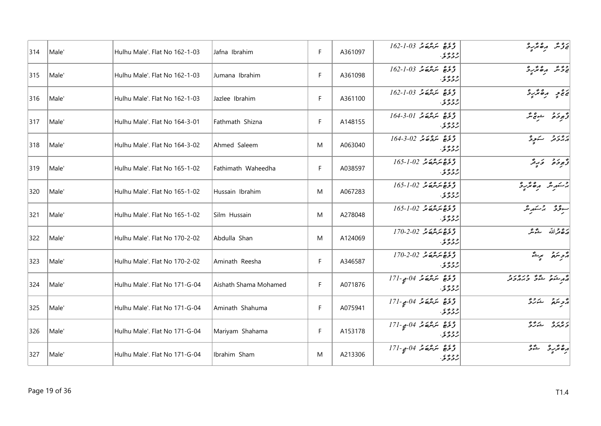| 314 | Male' | Hulhu Male'. Flat No 162-1-03 | Jafna Ibrahim         | F           | A361097 | $162 - 1 - 03$ $222 - 22$<br>و و و ء .<br>رند <del>و</del> نو   | ئى ئەش مەھەر ئەر            |
|-----|-------|-------------------------------|-----------------------|-------------|---------|-----------------------------------------------------------------|-----------------------------|
| 315 | Male' | Hulhu Male'. Flat No 162-1-03 | Jumana Ibrahim        | F.          | A361098 | $162 - 1 - 03$ $222 - 22$<br>ج و بر ي.<br>رنگوري                | ووير معتزره                 |
| 316 | Male' | Hulhu Male'. Flat No 162-1-03 | Jazlee Ibrahim        | $\mathsf F$ | A361100 | $162 - 1 - 03$ $222 - 22$<br>و و و ء .<br>رندگرنگ               | فالمحمح وهامرو              |
| 317 | Male' | Hulhu Male'. Flat No 164-3-01 | Fathmath Shizna       | $\mathsf F$ | A148155 | $164 - 3 - 01$ $222 - 82$<br>و و و ء .<br>رند <del>و</del> نو   | أزُّەر ئەشرىق ئىس           |
| 318 | Male' | Hulhu Male'. Flat No 164-3-02 | Ahmed Saleem          | M           | A063040 | $164 - 3 - 02$ $222 - 222$<br>و و و ء .<br>رو <del>ؤ</del> تو . | رەرو سەرە                   |
| 319 | Male' | Hulhu Male'. Flat No 165-1-02 | Fathimath Waheedha    | F           | A038597 | $165 - 1 - 02$ $222 - 222$<br>و و و ء .<br>رندگرنگ              | وحيحتم تحاريته              |
| 320 | Male' | Hulhu Male'. Flat No 165-1-02 | Hussain Ibrahim       | M           | A067283 | $165 - 1 - 02$ $222 - 22$<br>و و و ء .<br>رند <del>و</del> نو   | بر سکور مرد میگر دی         |
| 321 | Male' | Hulhu Male'. Flat No 165-1-02 | Silm Hussain          | M           | A278048 | $165 - 1 - 02$ وَوْج<br>ر و و ء .<br>رند <del>و</del> نو        | سوو برخير م                 |
| 322 | Male' | Hulhu Male'. Flat No 170-2-02 | Abdulla Shan          | M           | A124069 | $170 - 2 - 02$ $222 - 22$<br><u>رووي.</u>                       | مَدْهَ مَّرَاللَّهُ شَّمْسَ |
| 323 | Male' | Hulhu Male'. Flat No 170-2-02 | Aminath Reesha        | F           | A346587 | $170 - 2 - 02$ $222 - 22$<br>ر و و د ي.<br>رنگوري               | أأزويتهم بمريش              |
| 324 | Male' | Hulhu Male'. Flat No 171-G-04 | Aishath Shama Mohamed | F           | A071876 | $171 - 04$ مَرْسَعَة كَمْ 171 - 171<br>ج و بر ي.<br>رنگوري      | ه دره در دره دره در د       |
| 325 | Male' | Hulhu Male'. Flat No 171-G-04 | Aminath Shahuma       | F           | A075941 | وءه مرمود 171-ي-171<br>و و و ء .<br>رندگرنگ                     | أثرم شودة                   |
| 326 | Male' | Hulhu Male'. Flat No 171-G-04 | Mariyam Shahama       | F           | A153178 | وْوْعْ سَرْسْهَة سْ $04 - 171$<br>و و و ي.<br>رنونوگو           | رەرە خەرج                   |
| 327 | Male' | Hulhu Male'. Flat No 171-G-04 | Ibrahim Sham          | M           | A213306 | ووق سَرْسَهُمْ 14-ي-171<br>و و و ء .<br>رند <del>و</del> نو     | رە ئرىرو شۇ                 |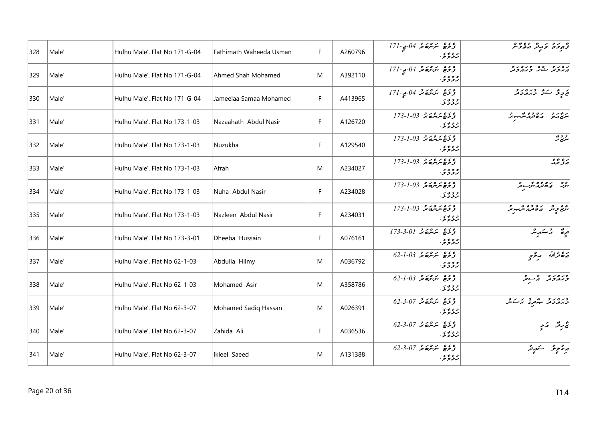| 328 | Male' | Hulhu Male'. Flat No 171-G-04 | Fathimath Waheeda Usman | $\mathsf F$ | A260796 | ووق سَرْجَعَة -171 وِ-171<br>ر و و و .<br>رنگوری                               | قەدە ئەبە دەۋە                                     |
|-----|-------|-------------------------------|-------------------------|-------------|---------|--------------------------------------------------------------------------------|----------------------------------------------------|
| 329 | Male' | Hulhu Male'. Flat No 171-G-04 | Ahmed Shah Mohamed      | M           | A392110 | و ۽ و شرعت 171 و -171<br>ج و بر ي.<br>رنگوري                                   | رەر دېمبر درەر د<br>م.روىر خىل دىمەدىر             |
| 330 | Male' | Hulhu Male'. Flat No 171-G-04 | Jameelaa Samaa Mohamed  | F           | A413965 | و و مستقيم 171-ي-171<br>ج و بر ي.<br>رنگوري                                    | ر و در در در در د                                  |
| 331 | Male' | Hulhu Male'. Flat No 173-1-03 | Nazaahath Abdul Nasir   | F           | A126720 | $173 - 1 - 03$ $229 - 29$<br>و و و ء .<br>رند <del>و</del> نو                  | ر در د ده ده ده به د<br>سرچ پره در ه تر پر سرجو پر |
| 332 | Male' | Hulhu Male'. Flat No 173-1-03 | Nuzukha                 | $\mathsf F$ | A129540 | $173 - 1 - 03$<br>و و و ء .<br>رنو <del>و</del> و .                            | پر پر مجر<br>سرچ ش                                 |
| 333 | Male' | Hulhu Male'. Flat No 173-1-03 | Afrah                   | M           | A234027 | $173 - 1 - 03$ $222 - 82$<br><u>رووي.</u>                                      | پره پږه                                            |
| 334 | Male' | Hulhu Male'. Flat No 173-1-03 | Nuha Abdul Nasir        | F           | A234028 | و و م مره د ح 1-03-173<br>و و و ء .<br>رند <del>و</del> نو                     | כפי גם כם פי<br>יינג' גם בנו <i>ג</i> יינגיב       |
| 335 | Male' | Hulhu Male'. Flat No 173-1-03 | Nazleen Abdul Nasir     | F           | A234031 | $173 - 1 - 03$<br>و و و ء .<br>رند <del>و</del> نو                             | ת פית הסינו ת-                                     |
| 336 | Male' | Hulhu Male'. Flat No 173-3-01 | Dheeba Hussain          | E           | A076161 | <b>173-3-01</b> مُرْسَّمَة بِهِ 173-3-1<br>ج و بر ي.<br>رنگوري                 | ىرە ئەسەر                                          |
| 337 | Male' | Hulhu Male'. Flat No 62-1-03  | Abdulla Hilmy           | M           | A036792 | $62 - 1 - 03$ $222 - 22$<br>و و و ء .<br>رند <del>و</del> نو                   | أرة مرالله برقرمي                                  |
| 338 | Male' | Hulhu Male'. Flat No 62-1-03  | Mohamed Asir            | M           | A358786 | $62 - 1 - 03$ $222 - 22$<br><u>رووي.</u>                                       | ورەرو ئەسىر                                        |
| 339 | Male' | Hulhu Male'. Flat No 62-3-07  | Mohamed Sadiq Hassan    | M           | A026391 | $62 - 3 - 07$ $\frac{2}{9}$ $\frac{6}{9}$ $\frac{6}{9}$<br>و و و ي.<br>رندگرنو | ورەرو ئېرۇ بەت كە                                  |
| 340 | Male' | Hulhu Male'. Flat No 62-3-07  | Zahida Ali              | F           | A036536 | $62 - 3 - 07$ $222 - 20$<br>و و و ء .<br>رند <del>و</del> نو                   | لتج رقته وكيمته                                    |
| 341 | Male' | Hulhu Male'. Flat No 62-3-07  | Ikleel Saeed            | M           | A131388 | $62 - 3 - 07$ $222 - 62$<br>و و و ء .<br>رند <del>و</del> نو                   | مرتموقر سكويتر                                     |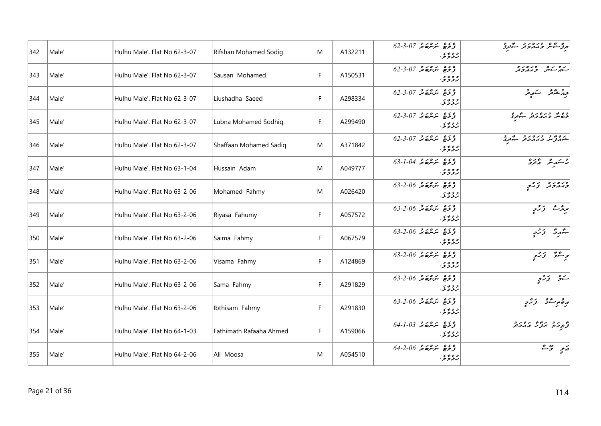| 342 | Male' | Hulhu Male'. Flat No 62-3-07 | Rifshan Mohamed Sodig   | M  | A132211 | $62 - 3 - 07$ $222 - 82$<br>و و و ء .<br>رند <del>و</del> نو            | بروڅش وره د و گېږو                                |
|-----|-------|------------------------------|-------------------------|----|---------|-------------------------------------------------------------------------|---------------------------------------------------|
| 343 | Male' | Hulhu Male'. Flat No 62-3-07 | Sausan Mohamed          | F  | A150531 | $62 - 3 - 07$ $222 - 20$<br>و و و ء .<br>رند <del>و</del> و .           | سەرسىس دىرەرد                                     |
| 344 | Male' | Hulhu Male'. Flat No 62-3-07 | Liushadha Saeed         | F  | A298334 | $62 - 3 - 07$ $\frac{2}{3}$ $\frac{2}{3}$ $\frac{2}{3}$<br><u>رووي.</u> | أحرم شكور كمسكور مركز                             |
| 345 | Male' | Hulhu Male'. Flat No 62-3-07 | Lubna Mohamed Sodhiq    | F. | A299490 | $62 - 3 - 07$ $222 - 82$<br>و و و ء .<br>رند <del>و</del> و .           | وه په وره رو د په وه<br>موه شر و بر د و تر سرگوری |
| 346 | Male' | Hulhu Male'. Flat No 62-3-07 | Shaffaan Mohamed Sadiq  | M  | A371842 | $62 - 3 - 07$ $222 - 62$<br>ج و بر ي.<br>رنگوري                         | ره ۶ و دره رو په عبدو<br>شهروس وبربروتر ب         |
| 347 | Male' | Hulhu Male'. Flat No 63-1-04 | Hussain Adam            | M  | A049777 | $63 - 1 - 04$ $222 - 22$<br><u>رووي.</u>                                | جر شهر شهره المحرجر                               |
| 348 | Male' | Hulhu Male'. Flat No 63-2-06 | Mohamed Fahmy           | M  | A026420 | $63 - 2 - 06$ $222 - 62$<br>و و و ء .<br>رند <del>و</del> و .           | ورەر در د                                         |
| 349 | Male' | Hulhu Male'. Flat No 63-2-06 | Riyasa Fahumy           | F  | A057572 | $63 - 2 - 06$ $222 - 62$<br><u>رووي.</u>                                | برور محمد وكرمير                                  |
| 350 | Male' | Hulhu Male'. Flat No 63-2-06 | Saima Fahmy             | F  | A067579 | $63 - 2 - 06$ $222 - 62$<br>ج و بر ي.<br>رنگوري                         | ستهرق وكرحي                                       |
| 351 | Male' | Hulhu Male'. Flat No 63-2-06 | Visama Fahmy            | F  | A124869 | $63 - 2 - 06$ $222 - 62$<br>و و و ء .<br>رند <del>و</del> نو            | <sub>و</sub> ستهوٌ دَرْدٍ                         |
| 352 | Male' | Hulhu Male'. Flat No 63-2-06 | Sama Fahmy              | F  | A291829 | $63 - 2 - 06$ $222 - 62$<br>و و و ي.<br>رنونوگو                         | سَرَةٌ وَرَّحٍ                                    |
| 353 | Male' | Hulhu Male'. Flat No 63-2-06 | Ibthisam Fahmy          | F  | A291830 | $63 - 2 - 06$ $222 - 62$<br>و و و ء .<br>رند <del>و</del> نو            | رەم شى زەپ                                        |
| 354 | Male' | Hulhu Male'. Flat No 64-1-03 | Fathimath Rafaaha Ahmed | F. | A159066 | $64 - 1 - 03$ $222 - 62$<br>و و و ء .<br>رندگرنگ                        | ء رو روء رود و<br>ژبوده برژگ ملاحل                |
| 355 | Male' | Hulhu Male'. Flat No 64-2-06 | Ali Moosa               | M  | A054510 | $64 - 2 - 06$ $222 - 62$<br>و و و ء .<br>رند <del>و</del> نو            | اړې دحمق                                          |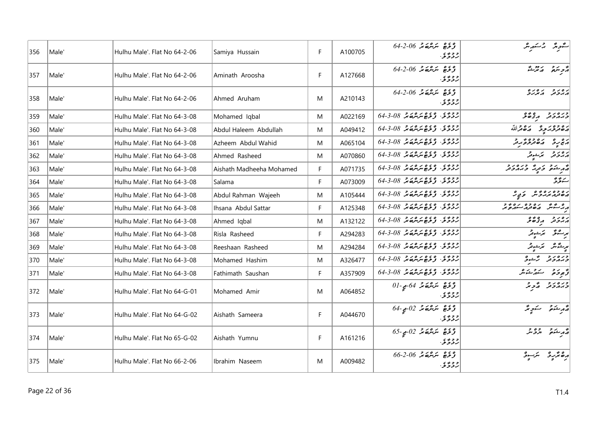| 356 | Male' | Hulhu Male'. Flat No 64-2-06 | Samiya Hussain           | F  | A100705 | $64 - 2 - 06$ $22 - 26$ $22 - 6$<br>و و و ء .<br>رند <del>و</del> نو         | گرونژ پر کشمیریش                       |
|-----|-------|------------------------------|--------------------------|----|---------|------------------------------------------------------------------------------|----------------------------------------|
| 357 | Male' | Hulhu Male'. Flat No 64-2-06 | Aminath Aroosha          | F. | A127668 | $64 - 2 - 06$ $222 - 62$<br>ر و و ي.<br>رند <del>و</del> تو .                | أروسكم والمراجع                        |
| 358 | Male' | Hulhu Male'. Flat No 64-2-06 | Ahmed Aruham             | М  | A210143 | $64 - 2 - 06$ $222 - 62$<br>و و و ء .<br>رند <del>و</del> و .                | גפיב גפיפ                              |
| 359 | Male' | Hulhu Male'. Flat No 64-3-08 | Mohamed Iqbal            | M  | A022169 | 322 - 329 مري <i>مھ تي 108-64</i>                                            | כנסנכ הסים                             |
| 360 | Male' | Hulhu Male'. Flat No 64-3-08 | Abdul Haleem Abdullah    | M  | A049412 | 333 - 3 <i>43 مربوعة كى 3-08-64</i>                                          | رە دەر يەھ تراللە                      |
| 361 | Male' | Hulhu Male'. Flat No 64-3-08 | Azheem Abdul Wahid       | M  | A065104 | 333 - 3 <i>43 مربوعة كى 3-08-64</i>                                          | גם כם הסינקפלגיל<br>היא גיל הסינקפלגיל |
| 362 | Male' | Hulhu Male'. Flat No 64-3-08 | Ahmed Rasheed            | M  | A070860 | 322 - موقع من المحدد 14-3-64                                                 | رەرو كەشەر                             |
| 363 | Male' | Hulhu Male'. Flat No 64-3-08 | Aishath Madheeha Mohamed | F  | A071735 | 322 - ووقع مريد 14-3-64                                                      | م ديدة كبرة ورودة                      |
| 364 | Male' | Hulhu Male'. Flat No 64-3-08 | Salama                   | F. | A073009 | 322 - 329 مري <i>مھ تي 108-64</i>                                            | ئەنە بە                                |
| 365 | Male' | Hulhu Male'. Flat No 64-3-08 | Abdul Rahman Wajeeh      | M  | A105444 | 322 - ووي مربوري مربوري من 108-64                                            | رە دەرەپە ھەر دە                       |
| 366 | Male' | Hulhu Male'. Flat No 64-3-08 | Ihsana Abdul Sattar      | F. | A125348 | 322 - 329 مري <i>مھ تي 108-64</i>                                            | ە شەر بەھەرە بەد                       |
| 367 | Male' | Hulhu Male'. Flat No 64-3-08 | Ahmed Iqbal              | М  | A132122 | 333 - 339 مري <i>مھ جي 50-3-64</i>                                           | גפנק גבים                              |
| 368 | Male' | Hulhu Male'. Flat No 64-3-08 | Risla Rasheed            | F  | A294283 | 322 - 329 مري <i>مھ تي 108-64</i>                                            | ىرىشىمى ئىرىشوقر                       |
| 369 | Male' | Hulhu Male'. Flat No 64-3-08 | Reeshaan Rasheed         | M  | A294284 | 333 - 3 <i>43 مربوعة كى 3-08-64</i>                                          | برىشەش ئىرىشوند                        |
| 370 | Male' | Hulhu Male'. Flat No 64-3-08 | Mohamed Hashim           | M  | A326477 | 322 - 329 مري <i>مھ تي 108-64</i>                                            | ورەرو گىدۇ                             |
| 371 | Male' | Hulhu Male'. Flat No 64-3-08 | Fathimath Saushan        | F. | A357909 | 333 - 3 <i>43 مربوعة كى 3-08-64</i>                                          | ۇمومۇ سىرمىشكى                         |
| 372 | Male' | Hulhu Male'. Flat No 64-G-01 | Mohamed Amir             | M  | A064852 | $01$ وَوْع سَرْسُهُ جَلْ $64$ -وِ $-10$<br>و و و ء .<br>رند <del>و</del> و . | ورەر د گەر                             |
| 373 | Male' | Hulhu Male'. Flat No 64-G-02 | Aishath Sameera          | F  | A044670 | وءو ش <i>بكھنى</i> 20-ي <sub>و</sub> -64<br>و و و ي.<br>رنونوگو              | ړه شو سوچر                             |
| 374 | Male' | Hulhu Male'. Flat No 65-G-02 | Aishath Yumnu            | F  | A161216 | $65 - 02$ وَمَحْمَدٍ $62 - 02$<br>333ع.<br>رنم <b>ر</b> ئر                   | و ده ده ده د                           |
| 375 | Male' | Hulhu Male'. Flat No 66-2-06 | Ibrahim Naseem           | M  | A009482 | $66 - 2 - 06$ $222 - 62$<br>و و و ء .<br>رند <del>و</del> نو .               | ەر ھەترىر <i>ۋ</i><br>ىئرسوقر          |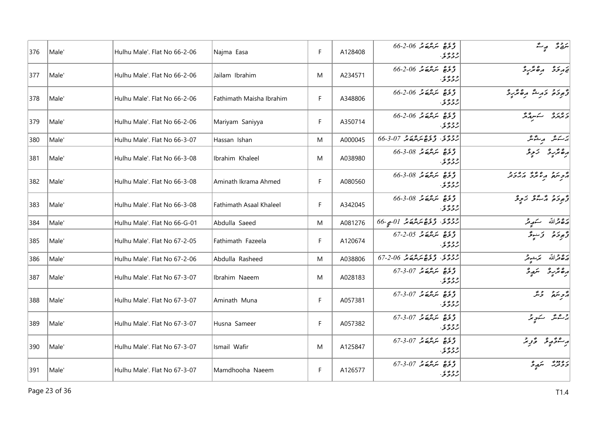| 376 | Male' | Hulhu Male'. Flat No 66-2-06 | Najma Easa               | F  | A128408 | $66 - 2 - 06$ $222 - 6$<br>ر و و ء .<br>رند <del>و</del> و .                                                                                                                                                                                                                                                                                                                                                                                                                                           | للروق الإنت                            |
|-----|-------|------------------------------|--------------------------|----|---------|--------------------------------------------------------------------------------------------------------------------------------------------------------------------------------------------------------------------------------------------------------------------------------------------------------------------------------------------------------------------------------------------------------------------------------------------------------------------------------------------------------|----------------------------------------|
| 377 | Male' | Hulhu Male'. Flat No 66-2-06 | Jailam Ibrahim           | M  | A234571 | $66 - 2 - 06$ $222 - 6$<br>و و و ء .<br>رند <del>و</del> نو                                                                                                                                                                                                                                                                                                                                                                                                                                            | فيرذذ رەئزېر                           |
| 378 | Male' | Hulhu Male'. Flat No 66-2-06 | Fathimath Maisha Ibrahim | F  | A348806 | $\overline{66}$ -2-06 $\overline{\mathcal{Z}}$ $\overline{\mathcal{Z}}$ $\overline{\mathcal{Z}}$ $\overline{\mathcal{Z}}$ $\overline{\mathcal{Z}}$ $\overline{\mathcal{Z}}$ $\overline{\mathcal{Z}}$ $\overline{\mathcal{Z}}$ $\overline{\mathcal{Z}}$ $\overline{\mathcal{Z}}$ $\overline{\mathcal{Z}}$ $\overline{\mathcal{Z}}$ $\overline{\mathcal{Z}}$ $\overline{\mathcal{Z}}$ $\overline{\mathcal{Z}}$ $\overline{\mathcal{Z}}$ $\overline{\mathcal{Z}}$ $\$<br>و و و ء .<br>رند <del>و</del> نو | ژّودَه دَرتْ رەترىد                    |
| 379 | Male' | Hulhu Male'. Flat No 66-2-06 | Mariyam Saniyya          | F. | A350714 | $66 - 2 - 06$ $222 - 66$<br>ج و بر ي.<br>رنگوري                                                                                                                                                                                                                                                                                                                                                                                                                                                        | سەسەر<br>ر ه ر ه<br><del>د</del> بربرگ |
| 380 | Male' | Hulhu Male'. Flat No 66-3-07 | Hassan Ishan             | M  | A000045 | $66 - 3 - 07$ كَرْمَرْجَ مِنْ سَرْبَعْهُمْ $-7$                                                                                                                                                                                                                                                                                                                                                                                                                                                        | يركسوا الرحقان                         |
| 381 | Male' | Hulhu Male'. Flat No 66-3-08 | Ibrahim Khaleel          | M  | A038980 | $66 - 3 - 08$ $222 - 8$<br>ر و و و .<br>رنگوری                                                                                                                                                                                                                                                                                                                                                                                                                                                         | رەپزىر ئىچى                            |
| 382 | Male' | Hulhu Male'. Flat No 66-3-08 | Aminath Ikrama Ahmed     | F. | A080560 | $66 - 3 - 08$ $222 - 8$<br>ر و و و .<br>رند <del>و</del> ک                                                                                                                                                                                                                                                                                                                                                                                                                                             | הכתים גיות ביני                        |
| 383 | Male' | Hulhu Male'. Flat No 66-3-08 | Fathimath Asaal Khaleel  | F. | A342045 | $66 - 3 - 08$ $222 - 8$<br>ج و بر ي.<br>رنگوري                                                                                                                                                                                                                                                                                                                                                                                                                                                         | ۋە ئەھ كەلگۈ كۆلۈ                      |
| 384 | Male' | Hulhu Male'. Flat No 66-G-01 | Abdulla Saeed            | M  | A081276 | وووي وءومرمومز 10-ي <sub>و</sub> -66                                                                                                                                                                                                                                                                                                                                                                                                                                                                   | أرة قرالله كسورتر                      |
| 385 | Male' | Hulhu Male'. Flat No 67-2-05 | Fathimath Fazeela        | F. | A120674 | $67 - 2 - 05$ $222 - 5$<br><u>رووي.</u>                                                                                                                                                                                                                                                                                                                                                                                                                                                                | وٌمِ وَمَعْ - وَسَبِعْ                 |
| 386 | Male' | Hulhu Male'. Flat No 67-2-06 | Abdulla Rasheed          | M  | A038806 | 32 <i>2 - 33 مربرھ پر 2-06-67</i>                                                                                                                                                                                                                                                                                                                                                                                                                                                                      | مَدْهِ مَرْ اللّهِ مَرَسُومَرْ         |
| 387 | Male' | Hulhu Male'. Flat No 67-3-07 | Ibrahim Naeem            | M  | A028183 | $67 - 3 - 07$ $222 - 82$<br>ر و و د ي.<br>رنگوري                                                                                                                                                                                                                                                                                                                                                                                                                                                       | رەتزىر سەر                             |
| 388 | Male' | Hulhu Male'. Flat No 67-3-07 | Aminath Muna             | F  | A057381 | $67 - 3 - 07$ $222 - 62$<br>ر و و و .<br>رند <del>و</del> ک                                                                                                                                                                                                                                                                                                                                                                                                                                            | أأروسه وتكر                            |
| 389 | Male' | Hulhu Male'. Flat No 67-3-07 | Husna Sameer             | F  | A057382 | $67 - 3 - 07$ $222 - 62$<br><u>رووي.</u>                                                                                                                                                                                                                                                                                                                                                                                                                                                               | برائد مگر بر                           |
| 390 | Male' | Hulhu Male'. Flat No 67-3-07 | Ismail Wafir             | M  | A125847 | $67 - 3 - 07$ $222 - 82$<br>و و و ء .<br>رند <del>و</del> نو                                                                                                                                                                                                                                                                                                                                                                                                                                           | ر جۇمۇھ قرىر                           |
| 391 | Male' | Hulhu Male'. Flat No 67-3-07 | Mamdhooha Naeem          | F  | A126577 | $67 - 3 - 07$ $222 - 62$<br>و و و ء .<br>رند <del>و</del> نو                                                                                                                                                                                                                                                                                                                                                                                                                                           | رەددە شەرە                             |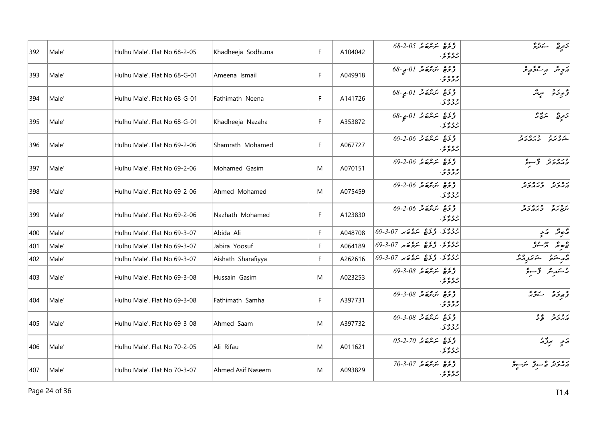| 392 | Male' | Hulhu Male'. Flat No 68-2-05 | Khadheeja Sodhuma  | F  | A104042 | $68 - 2 - 05$ $222 - 5$<br>و و و ء .<br>رند <del>و</del> و .    | كزمرة سنورد                                       |
|-----|-------|------------------------------|--------------------|----|---------|-----------------------------------------------------------------|---------------------------------------------------|
| 393 | Male' | Hulhu Male'. Flat No 68-G-01 | Ameena Ismail      | F  | A049918 | $68 - 01$ مُرْسَعَة مَنْ $10 - 4$<br>و و و ي.<br>رنونوگو        | ړَ په شو په د                                     |
| 394 | Male' | Hulhu Male'. Flat No 68-G-01 | Fathimath Neena    | F  | A141726 | $68 - 01$ وَوَدِعِ سَرْسَمَةٍ $01 - 4$<br>و و و ي.<br>رنونونو . | ۇي <sub>م</sub> ۇ ئەس بىر                         |
| 395 | Male' | Hulhu Male'. Flat No 68-G-01 | Khadheeja Nazaha   | F  | A353872 | $68 - 01$ مُرْسَمَة مَدَّ $10 - 2$<br>و و و ي.<br>رنونوگو       | تزمرچَّ<br>سرچ پژ                                 |
| 396 | Male' | Hulhu Male'. Flat No 69-2-06 | Shamrath Mohamed   | F. | A067727 | $69 - 2 - 06$ $222 - 62$<br>ج و بر ي.<br>رنگوري                 | شوكر وره دو                                       |
| 397 | Male' | Hulhu Male'. Flat No 69-2-06 | Mohamed Gasim      | M  | A070151 | $69 - 2 - 06$ $222 - 62$<br>و و و ء .<br>رنو <del>و</del> و     | ورەرو ۋىدۇ                                        |
| 398 | Male' | Hulhu Male'. Flat No 69-2-06 | Ahmed Mohamed      | M  | A075459 | $69 - 2 - 06$ $222 - 62$<br>و و و ء .<br>رند <del>و</del> نو    | נים כנים בי<br>הגבע בגהכע                         |
| 399 | Male' | Hulhu Male'. Flat No 69-2-06 | Nazhath Mohamed    | F  | A123830 | $69 - 2 - 06$ $222 - 62$<br>و و و ء .<br>رند <del>و</del> نو    | ק כק כק פקיב.<br>משיק פאמכנק                      |
| 400 | Male' | Hulhu Male', Flat No 69-3-07 | Abida Ali          | F  | A048708 | 333 - ووي سر <i>وه بر 10-3-69</i>                               | ړه پر دې                                          |
| 401 | Male' | Hulhu Male'. Flat No 69-3-07 | Jabira Yoosuf      | F. | A064189 | $69 - 3 - 07$ كَرْدُونَ مَرْدَهَ مِنْ 17-3-69                   |                                                   |
| 402 | Male' | Hulhu Male'. Flat No 69-3-07 | Aishath Sharafiyya | F  | A262616 | 333 - ووي سر <i>وه بر 10-3-69</i>                               | و<br>و <sub>ک</sub> ر شوه <sub>و</sub> شونمرو وگر |
| 403 | Male' | Hulhu Male'. Flat No 69-3-08 | Hussain Gasim      | M  | A023253 | $69 - 3 - 08$ $222 - 82$<br>و و و ي.<br>رنونونو .               | جرسكور مكر الحجاسوق                               |
| 404 | Male' | Hulhu Male'. Flat No 69-3-08 | Fathimath Samha    | F. | A397731 | ووق س <i>تر شهر 18-3-69</i><br>و و و ء .<br>رندگرنگ             | و دو ده و                                         |
| 405 | Male' | Hulhu Male'. Flat No 69-3-08 | Ahmed Saam         | M  | A397732 | $69 - 3 - 08$ $222 - 8$<br>و و و ي.<br>رنونوگو                  | رەر دە                                            |
| 406 | Male' | Hulhu Male'. Flat No 70-2-05 | Ali Rifau          | M  | A011621 | $05 - 2 - 70$ $222 - 20$<br>ج و بر ي.<br>رنگوري                 | أەيم بروژه                                        |
| 407 | Male' | Hulhu Male'. Flat No 70-3-07 | Ahmed Asif Naseem  | M  | A093829 | $70 - 3 - 07$ $222 - 22$<br><u>رووي.</u>                        | גפגד ג'יינר ייציינר                               |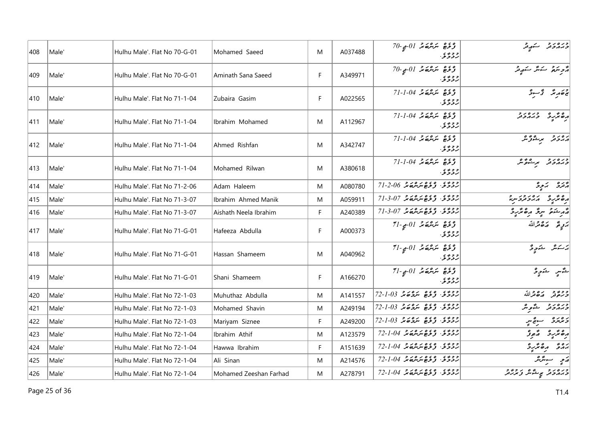| 408 | Male' | Hulhu Male'. Flat No 70-G-01 | Mohamed Saeed          | M           | A037488 | $70$ - وَوَقَعْ مَرْسُرَةَ جَرْ $-01$ - وِ $-70$<br>و و و ء .<br>رند <del>و</del> نو . | ورەرو سەرو                  |
|-----|-------|------------------------------|------------------------|-------------|---------|----------------------------------------------------------------------------------------|-----------------------------|
| 409 | Male' | Hulhu Male'. Flat No 70-G-01 | Aminath Sana Saeed     | F.          | A349971 | و ۽ صدر مذهب 20-ي -70<br>و و و ء .<br>رنونونو .                                        | ە ئەرە ئەنگە ئەرە           |
| 410 | Male' | Hulhu Male'. Flat No 71-1-04 | Zubaira Gasim          | $\mathsf F$ | A022565 | ووق مركز 1-04-1-71<br>ر و و ء .<br>رند <del>و</del> تو .                               | $3 - 3 - 2$                 |
| 411 | Male' | Hulhu Male'. Flat No 71-1-04 | Ibrahim Mohamed        | M           | A112967 | ووم شرش 1-1-04<br>ح و و ي.<br>رنو و تو .                                               | مصرير وبرورد                |
| 412 | Male' | Hulhu Male'. Flat No 71-1-04 | Ahmed Rishfan          | M           | A342747 | ووق <i>مربره بر 1-04-1-</i> 71<br>333ع.<br>رنم <b>و</b> څو                             | رەرد برىشۇش                 |
| 413 | Male' | Hulhu Male'. Flat No 71-1-04 | Mohamed Rilwan         | M           | A380618 | وو <sup>ء</sup> ِ سَرْسَهَ 1-1-04<br>ح و و ي.<br>رنو و تو .                            | ورەرو برخوش                 |
| 414 | Male' | Hulhu Male'. Flat No 71-2-06 | Adam Haleem            | M           | A080780 | 22°5. ووقع مرمود من 206-2-71                                                           | وره پروژ                    |
| 415 | Male' | Hulhu Male'. Flat No 71-3-07 | Ibrahim Ahmed Manik    | M           | A059911 | 33 <i>3 - و 5 ق مرمومة ب</i> ر 21-3-17                                                 | 1919 ביתור<br>ג' בריבר יימו |
| 416 | Male' | Hulhu Male'. Flat No 71-3-07 | Aishath Neela Ibrahim  | F.          | A240389 | 32 <i>3 - ووفا مرموما كى 71-3-17</i>                                                   | ړٌ د شکو په سرچه د هغربه    |
| 417 | Male' | Hulhu Male'. Flat No 71-G-01 | Hafeeza Abdulla        | F           | A000373 | وْ دْوْعْ سْرْسْهَ بْنْ 10-يې-71<br>333ع.<br>رنم <b>و</b> څو                           | ترويح صكاة الله             |
| 418 | Male' | Hulhu Male'. Flat No 71-G-01 | Hassan Shameem         | M           | A040962 | ووم شهر ال-مي-ا7<br>ر و و د ي.<br>رند <del>و</del> نو                                  | پر سور شرور د               |
| 419 | Male' | Hulhu Male'. Flat No 71-G-01 | Shani Shameem          | F           | A166270 | وْ دْ هُ سَرْ مَهْدَ 10-يې-71<br>و و و ء .<br>رو <del>و</del> و .                      | شَرْسِ شَرَوِرْ             |
| 420 | Male' | Hulhu Male'. Flat No 72-1-03 | Muhuthaz Abdulla       | M           | A141557 | 12-1-03 مركزة مركزة 1-03-72                                                            | ووءو ره والله               |
| 421 | Male' | Hulhu Male'. Flat No 72-1-03 | Mohamed Shavin         | M           | A249194 | 32-1-03 مركزة محمد 1-03-27                                                             | ورەرو شگەر                  |
| 422 | Male' | Hulhu Male'. Flat No 72-1-03 | Mariyam Siznee         | F.          | A249200 | 12-1-03 مردة مردة 1-03-72                                                              | ويروو سوءير                 |
| 423 | Male' | Hulhu Male'. Flat No 72-1-04 | Ibrahim Athif          | M           | A123579 | 333 - 339 مركز 1-04-72                                                                 | وە ئۆر ئەبۇ                 |
| 424 | Male' | Hulhu Male'. Flat No 72-1-04 | Hawwa Ibrahim          | F.          | A151639 | 333 - 339 مركز 1-04-72                                                                 |                             |
| 425 | Male' | Hulhu Male'. Flat No 72-1-04 | Ali Sinan              | M           | A214576 | 333 - 339 مركز 1-04-72                                                                 | ارَمِي سويٹريٹر             |
| 426 | Male' | Hulhu Male'. Flat No 72-1-04 | Mohamed Zeeshan Farhad | M           | A278791 | 22-1-04 ر <i>وء ۾ شهر 10-1-72</i>                                                      | ورەر دېدۇر كۆيۈد            |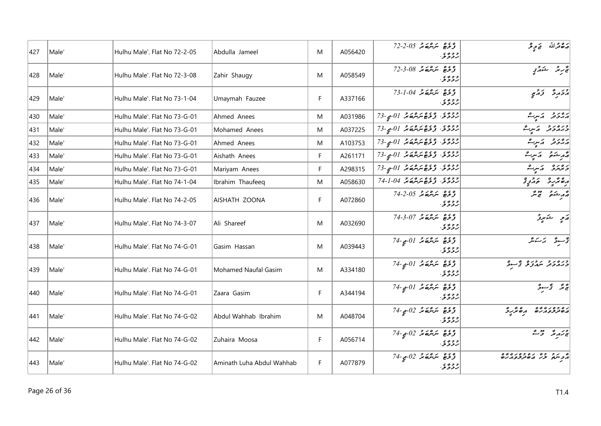| 427 | Male' | Hulhu Male'. Flat No 72-2-05 | Abdulla Jameel              | M           | A056420 | وء ۾ ش <i>هد 2-05-72</i><br>333ع.                                                                    | پرځوترالله   ښرغر تو                                        |
|-----|-------|------------------------------|-----------------------------|-------------|---------|------------------------------------------------------------------------------------------------------|-------------------------------------------------------------|
| 428 | Male' | Hulhu Male'. Flat No 72-3-08 | Zahir Shaugy                | M           | A058549 | 22-3-08 <i>مرش 28-3-27</i><br>ج و بر ي.<br>رنگوري                                                    | تجرير سنكرمني                                               |
| 429 | Male' | Hulhu Male'. Flat No 73-1-04 | Umaymah Fauzee              | F           | A337166 | <i>ووفي مرمه مرد 1-04-73</i><br>و و و ي.<br>رند و گر                                                 | أركار والمحمي                                               |
| 430 | Male' | Hulhu Male'. Flat No 73-G-01 | Ahmed Anees                 | M           | A031986 | وووي وووم مرومة 10-ي-73                                                                              | پرورو کمپرے                                                 |
| 431 | Male' | Hulhu Male'. Flat No 73-G-01 | Mohamed Anees               | M           | A037225 | 13 - ج ع م م م م م الك الم الم المحمد المسلم حدار المحمد المسلم المسلم المسلم المسلم المسلم المسلم ا | ورەرو كەرگ                                                  |
| 432 | Male' | Hulhu Male'. Flat No 73-G-01 | Ahmed Anees                 | M           | A103753 | د د د و و و و و مره مړ ال-يې -73                                                                     | پرورو پہرے                                                  |
| 433 | Male' | Hulhu Male'. Flat No 73-G-01 | Aishath Anees               | F.          | A261171 | وووي وءوبرو <i>مكي 10-ي</i> -73                                                                      | وكمر ينكوها وكالمريث                                        |
| 434 | Male' | Hulhu Male'. Flat No 73-G-01 | Mariyam Anees               | F           | A298315 | دوم عالم وعام مركز من الكوم 13-13 من الم                                                             | دەرە يەر ق                                                  |
| 435 | Male' | Hulhu Male'. Flat No 74-1-04 | Ibrahim Thaufeeq            | M           | A058630 | 32 <i>32. ووفا مرموما كي 1-04-</i> 74                                                                | رە ئەر ئەدرى                                                |
| 436 | Male' | Hulhu Male'. Flat No 74-2-05 | AISHATH ZOONA               | F           | A072860 | <i>ووفي سرمهغر</i> 2-05-74<br>ر و و د ي.<br>رنگوري                                                   | م شهر در ده در در در در بار می<br>مرگه بر سفر در سور در سور |
| 437 | Male' | Hulhu Male'. Flat No 74-3-07 | Ali Shareef                 | M           | A032690 | ووم <i>س معنى 3-07-74</i><br>ر و و د ي.<br>رنگوري                                                    | أتذمي المستمعيوقر                                           |
| 438 | Male' | Hulhu Male'. Flat No 74-G-01 | Gasim Hassan                | M           | A039443 | وءه مرهقة 10-ي-74<br>و و و ء .<br>رندگرنگ                                                            | قچ سوم پر پر کر میں                                         |
| 439 | Male' | Hulhu Male'. Flat No 74-G-01 | <b>Mohamed Naufal Gasim</b> | M           | A334180 | و ۽ و شرع ديھ جي -10-ي <u>.</u><br>و و و ي.<br>رنونونو .                                             | ورەرو ئەدرە ۋىسو                                            |
| 440 | Male' | Hulhu Male'. Flat No 74-G-01 | Zaara Gasim                 | F           | A344194 | وءو مركبة كال-مي-74<br>و و و ي.<br>رنونونو .                                                         | تج تمرّ تج سبوطر                                            |
| 441 | Male' | Hulhu Male'. Flat No 74-G-02 | Abdul Wahhab Ibrahim        | M           | A048704 | و <i>و ه ه مرهم لا 1</i> 2-م <sub>و</sub> -74<br>ج و بر ي.<br>رنگوري                                 | גם כם גם כם כם השיק כ                                       |
| 442 | Male' | Hulhu Male'. Flat No 74-G-02 | Zuhaira Moosa               | $\mathsf F$ | A056714 | و و مست <i>مر من حو -14</i><br>و و و ي.<br>رنونوگو                                                   | ي تربر على حق المحمد                                        |
| 443 | Male' | Hulhu Male'. Flat No 74-G-02 | Aminath Luha Abdul Wahhab   | F           | A077879 | و و ه سرسه چر 02-مي-74<br>و و و ء .<br>رند <del>و</del> نو                                           | ه د د ده ده ده ده ده<br>پژوسره ور پرهنروپرره                |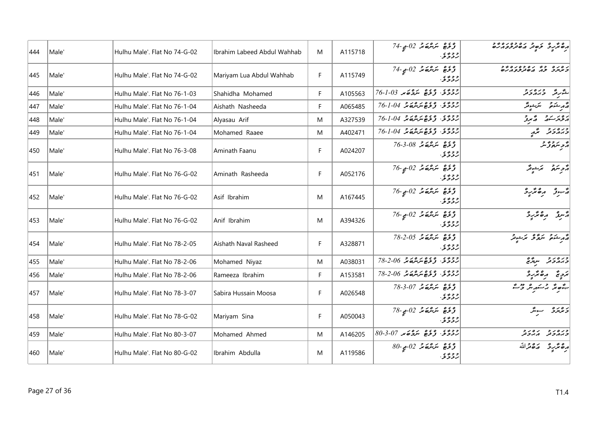| 444 | Male' | Hulhu Male'. Flat No 74-G-02 | Ibrahim Labeed Abdul Wahhab | M  | A115718 | وءو برب <i>رھ پڻ 02-ي</i> -74<br>333ع.<br>رنم <b>و</b> څو                                                       |                                                                             |
|-----|-------|------------------------------|-----------------------------|----|---------|-----------------------------------------------------------------------------------------------------------------|-----------------------------------------------------------------------------|
| 445 | Male' | Hulhu Male'. Flat No 74-G-02 | Mariyam Lua Abdul Wahhab    | F  | A115749 | و و و مر <i>سم الأربع</i> -74<br>و و و ء .<br>رو <del>و</del> نو                                                | ג ם גם כדי גם כם גם זיכ<br>כי <i>ג</i> ו <i>ג כד</i> ג גם تر <i>כ</i> פ געם |
| 446 | Male' | Hulhu Male'. Flat No 76-1-03 | Shahidha Mohamed            | F. | A105563 | 32 <i>2 - ووقع مروقع 1-03-1-76</i>                                                                              | شگریگر ویرورو                                                               |
| 447 | Male' | Hulhu Male'. Flat No 76-1-04 | Aishath Nasheeda            | F. | A065485 | 33 <i>3 - ووفي مرمومة ب</i> د 1-04-76                                                                           | أقهر مشكرة المستر متر مشير فكر                                              |
| 448 | Male' | Hulhu Male'. Flat No 76-1-04 | Alyasau Arif                | M  | A327539 | 22 <i>22. ووفا مرموماتي 1-04-76</i>                                                                             | גם גב"ק הבצ                                                                 |
| 449 | Male' | Hulhu Male'. Flat No 76-1-04 | Mohamed Raaee               | Μ  | A402471 | 333 - ووقع <i>مربوعة 1-04-76</i>                                                                                | ورەرو پەر                                                                   |
| 450 | Male' | Hulhu Male'. Flat No 76-3-08 | Aminath Faanu               | F. | A024207 | و دوم شرکت 08-3-76<br>ر و و ء .<br>رند <del>و</del> تو .                                                        | ۇ ئەستەۋىتر                                                                 |
| 451 | Male' | Hulhu Male'. Flat No 76-G-02 | Aminath Rasheeda            | F. | A052176 | ووم <i>مربره بر</i> -02 و -76<br>و و و ء .<br>رنونونو .                                                         | أترج مترة التماشونتر                                                        |
| 452 | Male' | Hulhu Male'. Flat No 76-G-02 | Asif Ibrahim                | M  | A167445 | $76 - 02$ $22 - 02$ $22 - 02$<br>333ع.<br>رنم <b>و</b> څو                                                       | ە ھەترىر ۋ<br>ۇسىۋ                                                          |
| 453 | Male' | Hulhu Male'. Flat No 76-G-02 | Anif Ibrahim                | M  | A394326 | $76 - 02$ وَقَوْمٍ سَرَسْهَةٍ $02 - 02$<br>و و و ء .<br>رند <del>و</del> نو                                     | ەھ ئەر ۋ<br>ر سر پی                                                         |
| 454 | Male' | Hulhu Male'. Flat No 78-2-05 | Aishath Naval Rasheed       | F. | A328871 | ووم <i>مربوم كى 2-05-78</i><br>333ع.<br>رنم <b>و</b> څو                                                         | مەر خىم سەۋى بىر خوش                                                        |
| 455 | Male' | Hulhu Male'. Flat No 78-2-06 | Mohamed Niyaz               | M  | A038031 | 32° في قوع مرمود كال-2-78                                                                                       | כנסנכ תוצם                                                                  |
| 456 | Male' | Hulhu Male'. Flat No 78-2-06 | Rameeza Ibrahim             | F. | A153581 | 22 <i>32. وقي مرتبط مرك</i> 2-06-78                                                                             | برَدٍ بِمَ رەبرُرد                                                          |
| 457 | Male' | Hulhu Male'. Flat No 78-3-07 | Sabira Hussain Moosa        | F  | A026548 | <i>3-3-07 مَرْمُهُ جِي 78-3-07</i><br>ر و و د ي.<br>رند <del>و</del> نو                                         | بەھ ئەرگە ئەسىر دېگە                                                        |
| 458 | Male' | Hulhu Male'. Flat No 78-G-02 | Mariyam Sina                | F  | A050043 | وءو ش <i>هغة</i> 12-ي-78<br>و و و ء .<br>رند <del>و</del> نو                                                    | ر ه بر ه<br><del>د</del> بربرگ<br>سىرىگە                                    |
| 459 | Male' | Hulhu Male'. Flat No 80-3-07 | Mohamed Ahmed               | M  | A146205 | $80 - 3 - 07$ كَمَرْدَوْ. وَعْهَا سَرْحَا بِيَا بِيَا بِيَا بِيَا بِيَا بِيَا بِيَا بِيَا بِيَا بِيَا بِيَا بِي | כנסנכ נסנכ<br>כגמכת הגכת                                                    |
| 460 | Male' | Hulhu Male'. Flat No 80-G-02 | Ibrahim Abdulla             | M  | A119586 | $80$ -وِدْعْ سَرْسْهَ بَرْ $02$ -بِي-<br>و و و ء .<br>رند <del>و</del> نو                                       | مرە ئرىرى مەھىراللە                                                         |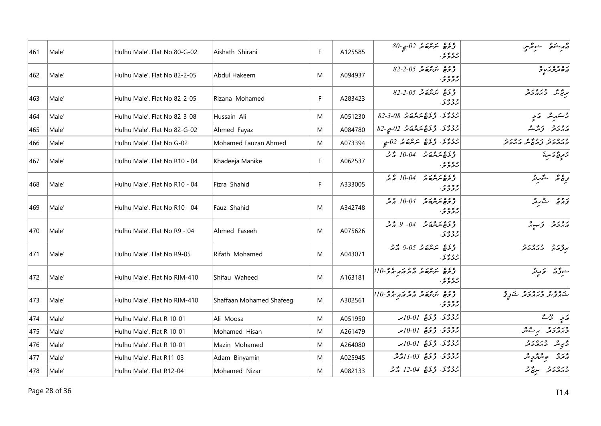| 461 | Male' | Hulhu Male'. Flat No 80-G-02  | Aishath Shirani          | F  | A125585 | $80$ - وَوَحْعَ سَرَسْهَ بِرْ $02$ - مِي<br>و و و ي.<br>رنونوگو               | وكركو والموترس                                                                      |
|-----|-------|-------------------------------|--------------------------|----|---------|-------------------------------------------------------------------------------|-------------------------------------------------------------------------------------|
| 462 | Male' | Hulhu Male'. Flat No 82-2-05  | Abdul Hakeem             | M  | A094937 | $82 - 2 - 05$ $\frac{2}{3}$ $\frac{2}{3}$ $\frac{2}{3}$<br>و و و ي.<br>رنگوري | ر ه وه ر<br>په هنروبرېږ                                                             |
| 463 | Male' | Hulhu Male'. Flat No 82-2-05  | Rizana Mohamed           | F. | A283423 | $82 - 2 - 05$ $22 - 2 - 15$<br>333ع.<br>رنم <b>ر</b> ئر                       | بریخ شر وره رو                                                                      |
| 464 | Male' | Hulhu Male'. Flat No 82-3-08  | Hussain Ali              | M  | A051230 | 32-3-08 كوفر <b>غ مربري تر</b> 28-3-82                                        | ائەسىمبە ھەمىيە<br>مەسىمبە سىمبە                                                    |
| 465 | Male' | Hulhu Male'. Flat No 82-G-02  | Ahmed Fayaz              | M  | A084780 | وووي - ووھ مرمر <i>ھاج</i> - 20-ي <sub>و</sub> -82                            | رەرد ئەر                                                                            |
| 466 | Male' | Hulhu Male'. Flat No G-02     | Mohamed Fauzan Ahmed     | M  | A073394 | رودي. وءِ ۽ شهره پڻ <sub>1</sub> 02 په                                        | כנסנכ נכשם נסנכ<br>בהחכת צחשית ההכת                                                 |
| 467 | Male' | Hulhu Male'. Flat No R10 - 04 | Khadeeja Manike          | F  | A062537 | وَوْقِ مَرْسْهَة كَ 10-04 مَرْتَز<br>و و و ي.<br>رنونونو .                    | تزەرقى ترسرىد                                                                       |
| 468 | Male' | Hulhu Male'. Flat No R10 - 04 | Fizra Shahid             | F  | A333005 | وْعْ قْسْرْسْمَةْ كَمْ 10-04 مْرَ مْرْ<br>و و و ي.<br>رنگونو .                | ارِ ج پُر يَجْرِ بِرْ                                                               |
| 469 | Male' | Hulhu Male'. Flat No R10 - 04 | Fauz Shahid              | M  | A342748 | $22 10 - 04$<br>و و و ي.<br>رنگوري                                            | تروح المشرقر                                                                        |
| 470 | Male' | Hulhu Male'. Flat No R9 - 04  | Ahmed Faseeh             | M  | A075626 | وءه مره مع حقب 9- 9 مجمو<br>و و و ي.<br>رنونوگو                               | برەر بىر بىر                                                                        |
| 471 | Male' | Hulhu Male'. Flat No R9-05    | Rifath Mohamed           | Μ  | A043071 | وءِ ۾ شر <i>هن 5</i> ,9-0 مخ<br>ر و و و .<br>رند <del>و</del> تو .            | بره در وره دو<br>برزمانو تربر دير                                                   |
| 472 | Male' | Hulhu Male'. Flat No RIM-410  | Shifau Waheed            | M  | A163181 | 020 - 2020 היה האב-110<br>333ع.<br>مرکو <del>گر</del>                         | شووٌ ۾ کاپاڻو                                                                       |
| 473 | Male' | Hulhu Male'. Flat No RIM-410  | Shaffaan Mohamed Shafeeg | M  | A302561 | 020 2022 22023-011<br>333ع.<br>مرکو <del>گر</del>                             | رەپ د درەر د شور د                                                                  |
| 474 | Male' | Hulhu Male'. Flat R 10-01     | Ali Moosa                | M  | A051950 | $10 - 01$ $22 - 22$                                                           | $\begin{bmatrix} a & r \\ r & s \end{bmatrix} \begin{bmatrix} r \\ r \end{bmatrix}$ |
| 475 | Male' | Hulhu Male'. Flat R 10-01     | Mohamed Hisan            | M  | A261479 | $10 - 01$ $22 - 52$                                                           | ورەرو برگەر                                                                         |
| 476 | Male' | Hulhu Male'. Flat R 10-01     | Mazin Mohamed            | M  | A264080 | $10 - 01$ $22 - 52$                                                           | د پی در ور د                                                                        |
| 477 | Male' | Hulhu Male'. Flat R11-03      | Adam Binyamin            | M  | A025945 | 11-03 ووقع 11-18.                                                             | وره صرگردیگر                                                                        |
| 478 | Male' | Hulhu Male'. Flat R12-04      | Mohamed Nizar            | M  | A082133 | $22 - 12 - 04$ $22 - 22$                                                      | ورەرو سرگانو                                                                        |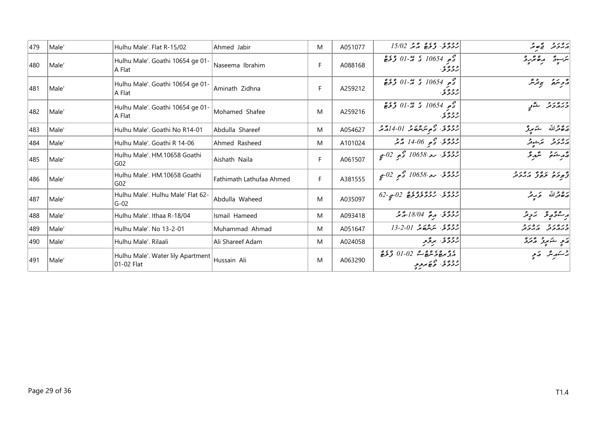| 479 | Male'          | Hulhu Male'. Flat R-15/02                       | Ahmed Jabir              | M  | A051077 | $15/02$ $22$ $22$ $22$ $22$                                                                                                                                                                                                                        | رەر دې<br>مەردىر ق                     |
|-----|----------------|-------------------------------------------------|--------------------------|----|---------|----------------------------------------------------------------------------------------------------------------------------------------------------------------------------------------------------------------------------------------------------|----------------------------------------|
| 480 | <i>I</i> Male' | Hulhu Male'. Goathi 10654 ge 01-<br>A Flat      | Naseema Ibrahim          | E  | A088168 | $223$ 01-2 $210654$ $23$<br>ر د وي .<br>رندگر                                                                                                                                                                                                      | سَ وحَمَّ وحَمَّ وحَ                   |
| 481 | <i>I</i> Male' | Hulhu Male'. Goathi 10654 ge 01-<br>A Flat      | Aminath Zidhna           | F  | A259212 | $223$ 01-2 $210654$ $23$<br>ر و و و <u>.</u>                                                                                                                                                                                                       | أأترج تنتجم بمجموعه                    |
| 482 | Male'          | Hulhu Male'. Goathi 10654 ge 01-<br> A Flat     | Mohamed Shafee           | M  | A259216 | $223$ 01-2 $210654$ $22$<br>ج و بر ي.<br>رنگوري                                                                                                                                                                                                    | ورەرو شىمو                             |
| 483 | Male'          | Hulhu Male'. Goathi No R14-01                   | Abdulla Shareef          | M  | A054627 | ودوي مى مرەم كى 14-01 كىم                                                                                                                                                                                                                          | <mark>برەت</mark> راللە خىمىر <i>ۇ</i> |
| 484 | lMale'         | Hulhu Male'. Goathi R 14-06                     | Ahmed Rasheed            | M  | A101024 | $\begin{bmatrix} 2 & 2 & 2 \ 3 & 5 & 6 \end{bmatrix}$ محمد المسلم المسلم المسلم المسلم المسلم المسلم المسلم المسلم المسلم المسلم المسلم المسلم المسلم المسلم المسلم المسلم المسلم المسلم المسلم المسلم المسلم المسلم المسلم المسلم المسلم المسلم ا | أرور و برجوس                           |
| 485 | lMale'         | Hulhu Male'. HM.10658 Goathi<br> G02            | Aishath Naila            | F  | A061507 | ر لارچ کا سر 10658 کی سر 100 سمجھ کے $\mathcal{C}$                                                                                                                                                                                                 | ە مەن ئىمىد                            |
| 486 | Male'          | Hulhu Male'. HM.10658 Goathi<br>GG2             | Fathimath Lathufaa Ahmed | F. | A381555 | $-02$ محمد محمد 10658 محمد سے 20-ی                                                                                                                                                                                                                 | ه د د ده بده ده د                      |
| 487 | Male'          | Hulhu Male'. Hulhu Male' Flat 62-<br>$G-02$     | Abdulla Waheed           | M  | A035097 |                                                                                                                                                                                                                                                    | ح صحرالله عربر مر                      |
| 488 | Male'          | Hulhu Male'. Ithaa R-18/04                      | Ismail Hameed            | M  | A093418 | $\begin{bmatrix} 2 & 2 & 18/04 & 2 & 5 & 2 & 5 \ 6 & 3 & 6 & 7 & 8 \end{bmatrix}$                                                                                                                                                                  | ر شۇرۇ سەرلا                           |
| 489 | Male'          | Hulhu Male', No 13-2-01                         | Muhammad Ahmad           | M  | A051647 | $13 - 2 - 01$ $22 - 2$                                                                                                                                                                                                                             | כנסנכ נסנכ<br>כגמכת הגכת               |
| 490 | Male'          | Hulhu Male'. Rilaali                            | Ali Shareef Adam         | M  | A024058 |                                                                                                                                                                                                                                                    | أركمي الحكم يوفر والمترفر              |
| 491 | Male'          | Hulhu Male'. Water lily Apartment<br>01-02 Flat | Hussain Ali              | M  | A063290 | كَ بِيَ مُحْدِ عَدْمِ 2,02-01 تَرْفَعْ<br>  ووو ،   هم ترو و<br>  رندو و ، الاه تصر و و                                                                                                                                                            | چرىسى مەر                              |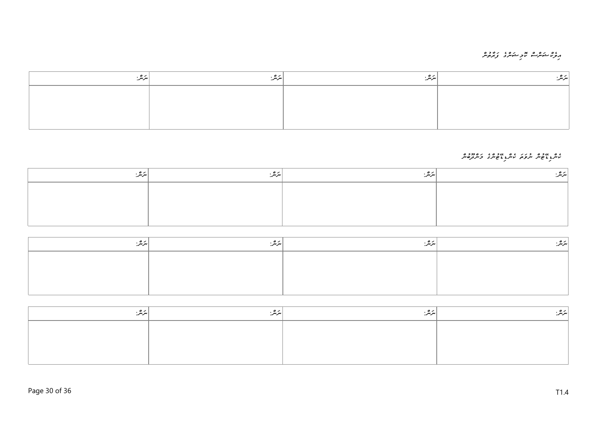## *w7qAn8m? sCw7mRo>u; wEw7mRw;sBo<*

| ' مرمر | 'يئرىثر: |
|--------|----------|
|        |          |
|        |          |
|        |          |

## *w7q9r@w7m> sCw7qHtFoFw7s; mAm=q7 w7qHtFoFw7s;*

| ىر تە | $\mathcal{O} \times$<br>$\sim$ | $\sim$<br>. . | لترنثر |
|-------|--------------------------------|---------------|--------|
|       |                                |               |        |
|       |                                |               |        |
|       |                                |               |        |

| $\frac{2}{n}$ | $\overline{\phantom{a}}$ | اير هنه. | $\mathcal{O} \times$<br>سرسر |
|---------------|--------------------------|----------|------------------------------|
|               |                          |          |                              |
|               |                          |          |                              |
|               |                          |          |                              |

| ىرتىر: | 。<br>سر سر | .,<br>مرسر |
|--------|------------|------------|
|        |            |            |
|        |            |            |
|        |            |            |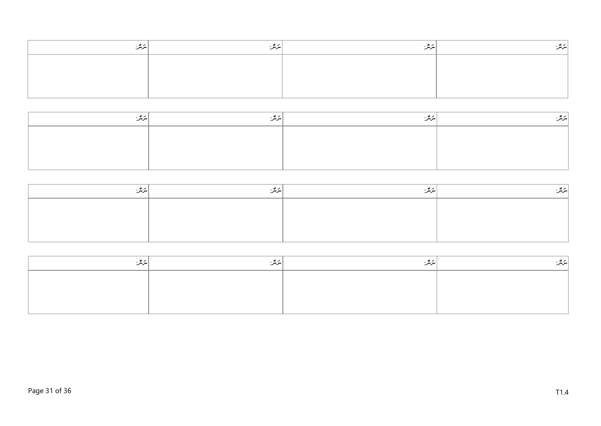| يره. | ο. | ا ير ه |  |
|------|----|--------|--|
|      |    |        |  |
|      |    |        |  |
|      |    |        |  |

| <sup>.</sup> سرسر. |  |
|--------------------|--|
|                    |  |
|                    |  |
|                    |  |

| ىئرىتر. | $\sim$ | ا بر هه. | لىرىش |
|---------|--------|----------|-------|
|         |        |          |       |
|         |        |          |       |
|         |        |          |       |

| 。<br>مرس. | $\overline{\phantom{a}}$<br>مر سر | يتريثر |
|-----------|-----------------------------------|--------|
|           |                                   |        |
|           |                                   |        |
|           |                                   |        |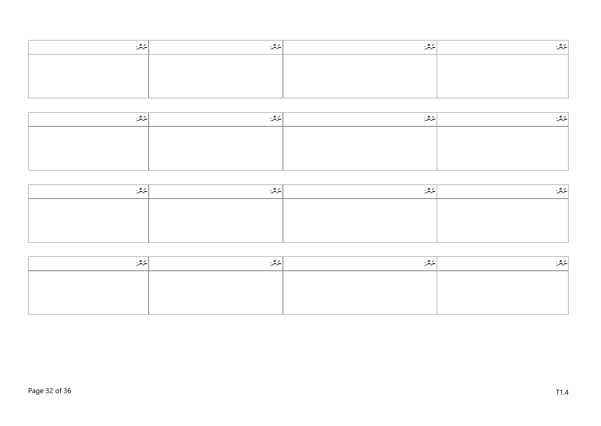| ير هو . | $\overline{\phantom{a}}$ | يرمر | اير هنه. |
|---------|--------------------------|------|----------|
|         |                          |      |          |
|         |                          |      |          |
|         |                          |      |          |

| ىر تىر: | $\circ$ $\sim$<br>" سرسر . | يترمير | o . |
|---------|----------------------------|--------|-----|
|         |                            |        |     |
|         |                            |        |     |
|         |                            |        |     |

| انترنثر: | ر ه |  |
|----------|-----|--|
|          |     |  |
|          |     |  |
|          |     |  |

|  | . ه |
|--|-----|
|  |     |
|  |     |
|  |     |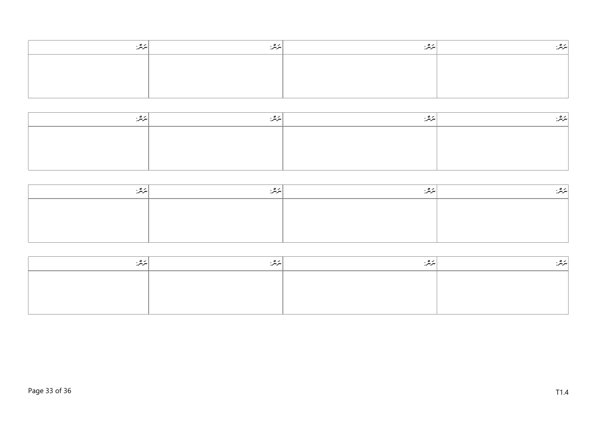| ير هو . | $\overline{\phantom{a}}$ | يرمر | اير هنه. |
|---------|--------------------------|------|----------|
|         |                          |      |          |
|         |                          |      |          |
|         |                          |      |          |

| ئىرتىر: | $\sim$<br>ا سرسر . | يئرمثر | o . |
|---------|--------------------|--------|-----|
|         |                    |        |     |
|         |                    |        |     |
|         |                    |        |     |

| انترنثر: | ر ه |  |
|----------|-----|--|
|          |     |  |
|          |     |  |
|          |     |  |

|  | . ه |
|--|-----|
|  |     |
|  |     |
|  |     |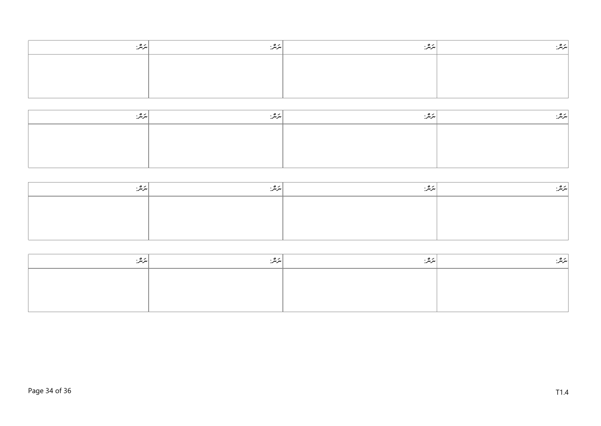| $\cdot$ | ο. | $\frac{\circ}{\cdot}$ | $\sim$<br>سرسر |
|---------|----|-----------------------|----------------|
|         |    |                       |                |
|         |    |                       |                |
|         |    |                       |                |

| ايرعر: | ر ه<br>. . |  |
|--------|------------|--|
|        |            |  |
|        |            |  |
|        |            |  |

| بر ه | 。 | $\sim$<br>َ سومس. |  |
|------|---|-------------------|--|
|      |   |                   |  |
|      |   |                   |  |
|      |   |                   |  |

| 。<br>. س | ىرىىر |  |
|----------|-------|--|
|          |       |  |
|          |       |  |
|          |       |  |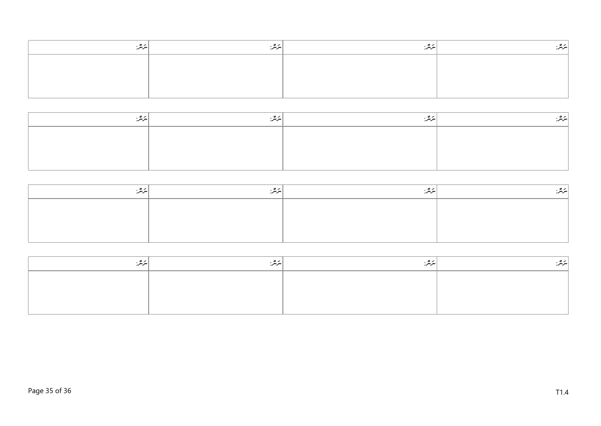| ير هو . | $\overline{\phantom{a}}$ | يرمر | لتزمثن |
|---------|--------------------------|------|--------|
|         |                          |      |        |
|         |                          |      |        |
|         |                          |      |        |

| ىر تىر: | $\circ$ $\sim$<br>" سرسر . | يترمير | o . |
|---------|----------------------------|--------|-----|
|         |                            |        |     |
|         |                            |        |     |
|         |                            |        |     |

| 'تترنثر: | 。<br>,,,, |  |
|----------|-----------|--|
|          |           |  |
|          |           |  |
|          |           |  |

|  | . ه |
|--|-----|
|  |     |
|  |     |
|  |     |